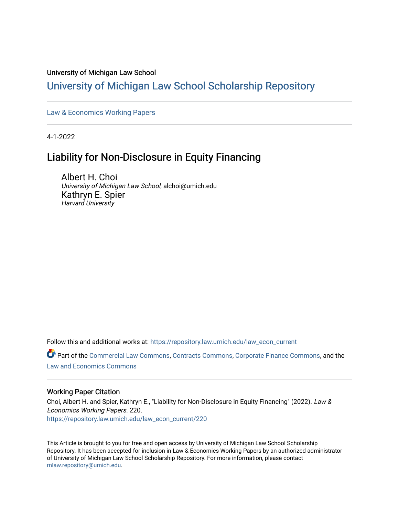#### University of Michigan Law School

### [University of Michigan Law School Scholarship Repository](https://repository.law.umich.edu/)

[Law & Economics Working Papers](https://repository.law.umich.edu/law_econ_current)

4-1-2022

# Liability for Non-Disclosure in Equity Financing

Albert H. Choi University of Michigan Law School, alchoi@umich.edu Kathryn E. Spier Harvard University

Follow this and additional works at: [https://repository.law.umich.edu/law\\_econ\\_current](https://repository.law.umich.edu/law_econ_current?utm_source=repository.law.umich.edu%2Flaw_econ_current%2F220&utm_medium=PDF&utm_campaign=PDFCoverPages) 

Part of the [Commercial Law Commons](http://network.bepress.com/hgg/discipline/586?utm_source=repository.law.umich.edu%2Flaw_econ_current%2F220&utm_medium=PDF&utm_campaign=PDFCoverPages), [Contracts Commons,](http://network.bepress.com/hgg/discipline/591?utm_source=repository.law.umich.edu%2Flaw_econ_current%2F220&utm_medium=PDF&utm_campaign=PDFCoverPages) [Corporate Finance Commons](http://network.bepress.com/hgg/discipline/629?utm_source=repository.law.umich.edu%2Flaw_econ_current%2F220&utm_medium=PDF&utm_campaign=PDFCoverPages), and the [Law and Economics Commons](http://network.bepress.com/hgg/discipline/612?utm_source=repository.law.umich.edu%2Flaw_econ_current%2F220&utm_medium=PDF&utm_campaign=PDFCoverPages) 

#### Working Paper Citation

Choi, Albert H. and Spier, Kathryn E., "Liability for Non-Disclosure in Equity Financing" (2022). Law & Economics Working Papers. 220. [https://repository.law.umich.edu/law\\_econ\\_current/220](https://repository.law.umich.edu/law_econ_current/220?utm_source=repository.law.umich.edu%2Flaw_econ_current%2F220&utm_medium=PDF&utm_campaign=PDFCoverPages) 

This Article is brought to you for free and open access by University of Michigan Law School Scholarship Repository. It has been accepted for inclusion in Law & Economics Working Papers by an authorized administrator of University of Michigan Law School Scholarship Repository. For more information, please contact [mlaw.repository@umich.edu.](mailto:mlaw.repository@umich.edu)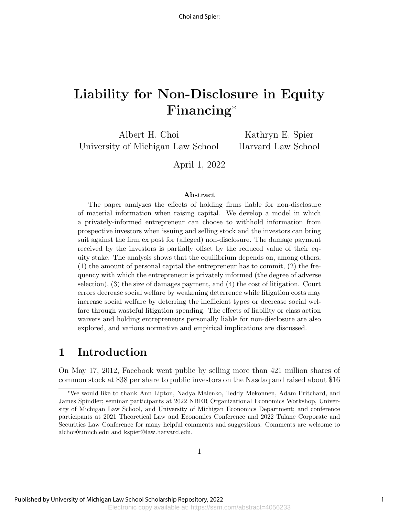# Liability for Non-Disclosure in Equity Financing<sup>∗</sup>

Albert H. Choi University of Michigan Law School

Kathryn E. Spier Harvard Law School

April 1, 2022

#### Abstract

The paper analyzes the effects of holding firms liable for non-disclosure of material information when raising capital. We develop a model in which a privately-informed entrepreneur can choose to withhold information from prospective investors when issuing and selling stock and the investors can bring suit against the firm ex post for (alleged) non-disclosure. The damage payment received by the investors is partially offset by the reduced value of their equity stake. The analysis shows that the equilibrium depends on, among others, (1) the amount of personal capital the entrepreneur has to commit, (2) the frequency with which the entrepreneur is privately informed (the degree of adverse selection), (3) the size of damages payment, and (4) the cost of litigation. Court errors decrease social welfare by weakening deterrence while litigation costs may increase social welfare by deterring the inefficient types or decrease social welfare through wasteful litigation spending. The effects of liability or class action waivers and holding entrepreneurs personally liable for non-disclosure are also explored, and various normative and empirical implications are discussed.

# 1 Introduction

On May 17, 2012, Facebook went public by selling more than 421 million shares of common stock at \$38 per share to public investors on the Nasdaq and raised about \$16

<sup>∗</sup>We would like to thank Ann Lipton, Nadya Malenko, Teddy Mekonnen, Adam Pritchard, and James Spindler; seminar participants at 2022 NBER Organizational Economics Workshop, University of Michigan Law School, and University of Michigan Economics Department; and conference participants at 2021 Theoretical Law and Economics Conference and 2022 Tulane Corporate and Securities Law Conference for many helpful comments and suggestions. Comments are welcome to alchoi@umich.edu and kspier@law.harvard.edu.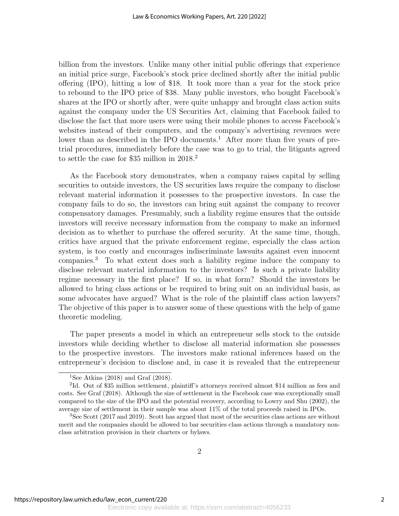billion from the investors. Unlike many other initial public offerings that experience an initial price surge, Facebook's stock price declined shortly after the initial public offering (IPO), hitting a low of \$18. It took more than a year for the stock price to rebound to the IPO price of \$38. Many public investors, who bought Facebook's shares at the IPO or shortly after, were quite unhappy and brought class action suits against the company under the US Securities Act, claiming that Facebook failed to disclose the fact that more users were using their mobile phones to access Facebook's websites instead of their computers, and the company's advertising revenues were lower than as described in the IPO documents.<sup>1</sup> After more than five years of pretrial procedures, immediately before the case was to go to trial, the litigants agreed to settle the case for \$35 million in 2018.<sup>2</sup>

As the Facebook story demonstrates, when a company raises capital by selling securities to outside investors, the US securities laws require the company to disclose relevant material information it possesses to the prospective investors. In case the company fails to do so, the investors can bring suit against the company to recover compensatory damages. Presumably, such a liability regime ensures that the outside investors will receive necessary information from the company to make an informed decision as to whether to purchase the offered security. At the same time, though, critics have argued that the private enforcement regime, especially the class action system, is too costly and encourages indiscriminate lawsuits against even innocent companies.<sup>3</sup> To what extent does such a liability regime induce the company to disclose relevant material information to the investors? Is such a private liability regime necessary in the first place? If so, in what form? Should the investors be allowed to bring class actions or be required to bring suit on an individual basis, as some advocates have argued? What is the role of the plaintiff class action lawyers? The objective of this paper is to answer some of these questions with the help of game theoretic modeling.

The paper presents a model in which an entrepreneur sells stock to the outside investors while deciding whether to disclose all material information she possesses to the prospective investors. The investors make rational inferences based on the entrepreneur's decision to disclose and, in case it is revealed that the entrepreneur

<sup>&</sup>lt;sup>1</sup>See Atkins (2018) and Graf (2018).

<sup>&</sup>lt;sup>2</sup>Id. Out of \$35 million settlement, plaintiff's attorneys received almost \$14 million as fees and costs. See Graf (2018). Although the size of settlement in the Facebook case was exceptionally small compared to the size of the IPO and the potential recovery, according to Lowry and Shu (2002), the average size of settlement in their sample was about 11% of the total proceeds raised in IPOs.

<sup>&</sup>lt;sup>3</sup>See Scott (2017 and 2019). Scott has argued that most of the securities class actions are without merit and the companies should be allowed to bar securities class actions through a mandatory nonclass arbitration provision in their charters or bylaws.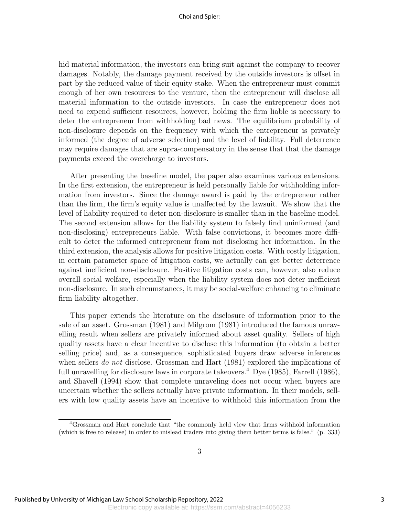#### Choi and Spier:

hid material information, the investors can bring suit against the company to recover damages. Notably, the damage payment received by the outside investors is offset in part by the reduced value of their equity stake. When the entrepreneur must commit enough of her own resources to the venture, then the entrepreneur will disclose all material information to the outside investors. In case the entrepreneur does not need to expend sufficient resources, however, holding the firm liable is necessary to deter the entrepreneur from withholding bad news. The equilibrium probability of non-disclosure depends on the frequency with which the entrepreneur is privately informed (the degree of adverse selection) and the level of liability. Full deterrence may require damages that are supra-compensatory in the sense that that the damage payments exceed the overcharge to investors.

After presenting the baseline model, the paper also examines various extensions. In the first extension, the entrepreneur is held personally liable for withholding information from investors. Since the damage award is paid by the entrepreneur rather than the firm, the firm's equity value is unaffected by the lawsuit. We show that the level of liability required to deter non-disclosure is smaller than in the baseline model. The second extension allows for the liability system to falsely find uninformed (and non-disclosing) entrepreneurs liable. With false convictions, it becomes more difficult to deter the informed entrepreneur from not disclosing her information. In the third extension, the analysis allows for positive litigation costs. With costly litigation, in certain parameter space of litigation costs, we actually can get better deterrence against inefficient non-disclosure. Positive litigation costs can, however, also reduce overall social welfare, especially when the liability system does not deter inefficient non-disclosure. In such circumstances, it may be social-welfare enhancing to eliminate firm liability altogether.

This paper extends the literature on the disclosure of information prior to the sale of an asset. Grossman (1981) and Milgrom (1981) introduced the famous unravelling result when sellers are privately informed about asset quality. Sellers of high quality assets have a clear incentive to disclose this information (to obtain a better selling price) and, as a consequence, sophisticated buyers draw adverse inferences when sellers *do not* disclose. Grossman and Hart (1981) explored the implications of full unravelling for disclosure laws in corporate takeovers.<sup>4</sup> Dye  $(1985)$ , Farrell  $(1986)$ , and Shavell (1994) show that complete unraveling does not occur when buyers are uncertain whether the sellers actually have private information. In their models, sellers with low quality assets have an incentive to withhold this information from the

<sup>4</sup>Grossman and Hart conclude that "the commonly held view that firms withhold information (which is free to release) in order to mislead traders into giving them better terms is false." (p. 333)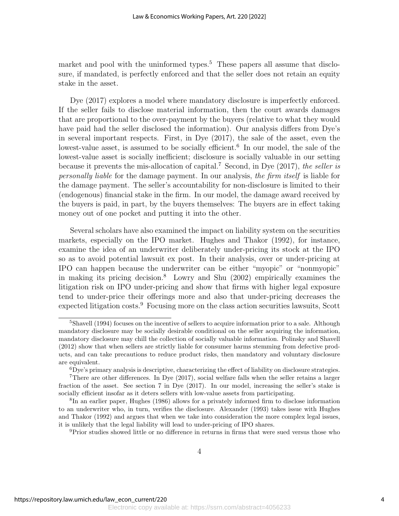market and pool with the uninformed types.<sup>5</sup> These papers all assume that disclosure, if mandated, is perfectly enforced and that the seller does not retain an equity stake in the asset.

Dye (2017) explores a model where mandatory disclosure is imperfectly enforced. If the seller fails to disclose material information, then the court awards damages that are proportional to the over-payment by the buyers (relative to what they would have paid had the seller disclosed the information). Our analysis differs from Dye's in several important respects. First, in Dye (2017), the sale of the asset, even the lowest-value asset, is assumed to be socially efficient.<sup>6</sup> In our model, the sale of the lowest-value asset is socially inefficient; disclosure is socially valuable in our setting because it prevents the mis-allocation of capital.<sup>7</sup> Second, in Dye  $(2017)$ , the seller is personally liable for the damage payment. In our analysis, the firm itself is liable for the damage payment. The seller's accountability for non-disclosure is limited to their (endogenous) financial stake in the firm. In our model, the damage award received by the buyers is paid, in part, by the buyers themselves: The buyers are in effect taking money out of one pocket and putting it into the other.

Several scholars have also examined the impact on liability system on the securities markets, especially on the IPO market. Hughes and Thakor (1992), for instance, examine the idea of an underwriter deliberately under-pricing its stock at the IPO so as to avoid potential lawsuit ex post. In their analysis, over or under-pricing at IPO can happen because the underwriter can be either "myopic" or "nonmyopic" in making its pricing decision.<sup>8</sup> Lowry and Shu (2002) empirically examines the litigation risk on IPO under-pricing and show that firms with higher legal exposure tend to under-price their offerings more and also that under-pricing decreases the expected litigation costs.<sup>9</sup> Focusing more on the class action securities lawsuits, Scott

<sup>9</sup>Prior studies showed little or no difference in returns in firms that were sued versus those who

<sup>&</sup>lt;sup>5</sup>Shavell (1994) focuses on the incentive of sellers to acquire information prior to a sale. Although mandatory disclosure may be socially desirable conditional on the seller acquiring the information, mandatory disclosure may chill the collection of socially valuable information. Polinsky and Shavell (2012) show that when sellers are strictly liable for consumer harms stemming from defective products, and can take precautions to reduce product risks, then mandatory and voluntary disclosure are equivalent.

<sup>6</sup>Dye's primary analysis is descriptive, characterizing the effect of liability on disclosure strategies. <sup>7</sup>There are other differences. In Dye (2017), social welfare falls when the seller retains a larger fraction of the asset. See section 7 in Dye (2017). In our model, increasing the seller's stake is socially efficient insofar as it deters sellers with low-value assets from participating.

<sup>&</sup>lt;sup>8</sup>In an earlier paper, Hughes (1986) allows for a privately informed firm to disclose information to an underwriter who, in turn, verifies the disclosure. Alexander (1993) takes issue with Hughes and Thakor (1992) and argues that when we take into consideration the more complex legal issues, it is unlikely that the legal liability will lead to under-pricing of IPO shares.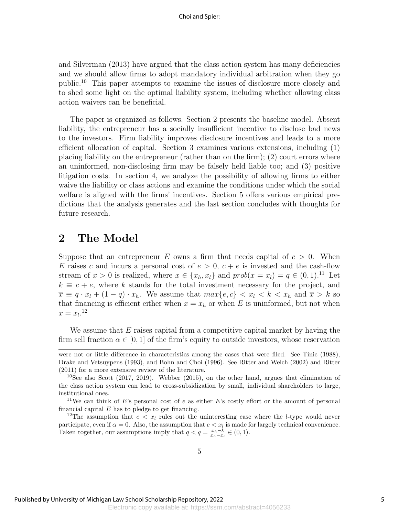and Silverman (2013) have argued that the class action system has many deficiencies and we should allow firms to adopt mandatory individual arbitration when they go public.<sup>10</sup> This paper attempts to examine the issues of disclosure more closely and to shed some light on the optimal liability system, including whether allowing class action waivers can be beneficial.

The paper is organized as follows. Section 2 presents the baseline model. Absent liability, the entrepreneur has a socially insufficient incentive to disclose bad news to the investors. Firm liability improves disclosure incentives and leads to a more efficient allocation of capital. Section 3 examines various extensions, including (1) placing liability on the entrepreneur (rather than on the firm); (2) court errors where an uninformed, non-disclosing firm may be falsely held liable too; and (3) positive litigation costs. In section 4, we analyze the possibility of allowing firms to either waive the liability or class actions and examine the conditions under which the social welfare is aligned with the firms' incentives. Section 5 offers various empirical predictions that the analysis generates and the last section concludes with thoughts for future research.

### 2 The Model

Suppose that an entrepreneur E owns a firm that needs capital of  $c > 0$ . When E raises c and incurs a personal cost of  $e > 0$ ,  $c + e$  is invested and the cash-flow stream of  $x > 0$  is realized, where  $x \in \{x_h, x_l\}$  and  $prob(x = x_l) = q \in (0, 1)$ .<sup>11</sup> Let  $k \equiv c + e$ , where k stands for the total investment necessary for the project, and  $\overline{x} \equiv q \cdot x_l + (1 - q) \cdot x_h$ . We assume that  $max\{e, c\} < x_l < k < x_h$  and  $\overline{x} > k$  so that financing is efficient either when  $x = x_h$  or when E is uninformed, but not when  $x = x_l.$ <sup>12</sup>

We assume that  $E$  raises capital from a competitive capital market by having the firm sell fraction  $\alpha \in [0,1]$  of the firm's equity to outside investors, whose reservation

were not or little difference in characteristics among the cases that were filed. See Tinic (1988), Drake and Vetsuypens (1993), and Bohn and Choi (1996). See Ritter and Welch (2002) and Ritter (2011) for a more extensive review of the literature.

<sup>&</sup>lt;sup>10</sup>See also Scott (2017, 2019). Webber (2015), on the other hand, argues that elimination of the class action system can lead to cross-subsidization by small, individual shareholders to large, institutional ones.

<sup>&</sup>lt;sup>11</sup>We can think of E's personal cost of e as either E's costly effort or the amount of personal financial capital  $E$  has to pledge to get financing.

<sup>&</sup>lt;sup>12</sup>The assumption that  $e < x_l$  rules out the uninteresting case where the *l*-type would never participate, even if  $\alpha = 0$ . Also, the assumption that  $c < x<sub>l</sub>$  is made for largely technical convenience. Taken together, our assumptions imply that  $q < \overline{q} = \frac{x_h - k}{x_h - x_l} \in (0, 1)$ .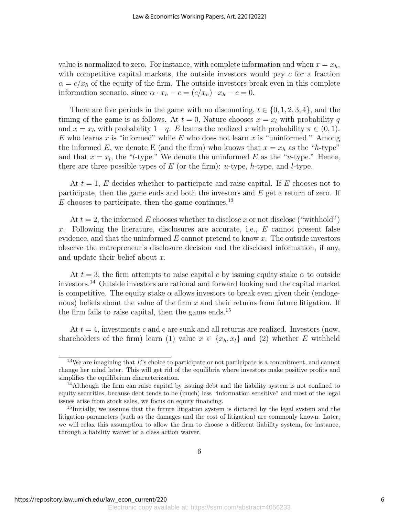value is normalized to zero. For instance, with complete information and when  $x = x_h$ , with competitive capital markets, the outside investors would pay  $c$  for a fraction  $\alpha = c/x_h$  of the equity of the firm. The outside investors break even in this complete information scenario, since  $\alpha \cdot x_h - c = (c/x_h) \cdot x_h - c = 0$ .

There are five periods in the game with no discounting,  $t \in \{0, 1, 2, 3, 4\}$ , and the timing of the game is as follows. At  $t = 0$ , Nature chooses  $x = x_l$  with probability q and  $x = x_h$  with probability  $1-q$ . E learns the realized x with probability  $\pi \in (0,1)$ . E who learns x is "informed" while E who does not learn x is "uninformed." Among the informed E, we denote E (and the firm) who knows that  $x = x_h$  as the "h-type" and that  $x = x_l$ , the "l-type." We denote the uninformed E as the "u-type." Hence, there are three possible types of  $E$  (or the firm): u-type, h-type, and *l*-type.

At  $t = 1$ , E decides whether to participate and raise capital. If E chooses not to participate, then the game ends and both the investors and  $E$  get a return of zero. If E chooses to participate, then the game continues.<sup>13</sup>

At  $t = 2$ , the informed E chooses whether to disclose x or not disclose ("withhold") x. Following the literature, disclosures are accurate, i.e.,  $E$  cannot present false evidence, and that the uninformed  $E$  cannot pretend to know  $x$ . The outside investors observe the entrepreneur's disclosure decision and the disclosed information, if any, and update their belief about x.

At  $t = 3$ , the firm attempts to raise capital c by issuing equity stake  $\alpha$  to outside investors.<sup>14</sup> Outside investors are rational and forward looking and the capital market is competitive. The equity stake  $\alpha$  allows investors to break even given their (endogenous) beliefs about the value of the firm  $x$  and their returns from future litigation. If the firm fails to raise capital, then the game ends.<sup>15</sup>

At  $t = 4$ , investments c and e are sunk and all returns are realized. Investors (now, shareholders of the firm) learn (1) value  $x \in \{x_h, x_l\}$  and (2) whether E withheld

 $13\text{We are imaging that } E$ 's choice to participate or not participate is a commitment, and cannot change her mind later. This will get rid of the equilibria where investors make positive profits and simplifies the equilibrium characterization.

<sup>&</sup>lt;sup>14</sup>Although the firm can raise capital by issuing debt and the liability system is not confined to equity securities, because debt tends to be (much) less "information sensitive" and most of the legal issues arise from stock sales, we focus on equity financing.

<sup>&</sup>lt;sup>15</sup>Initially, we assume that the future litigation system is dictated by the legal system and the litigation parameters (such as the damages and the cost of litigation) are commonly known. Later, we will relax this assumption to allow the firm to choose a different liability system, for instance, through a liability waiver or a class action waiver.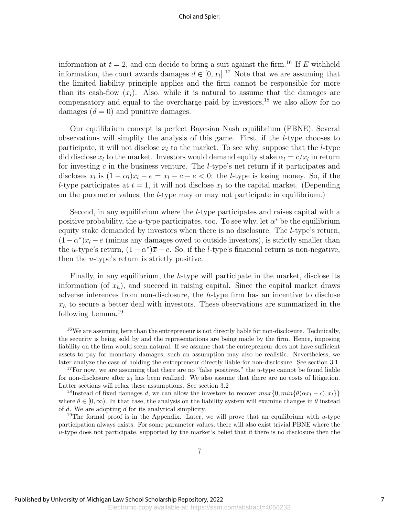information at  $t = 2$ , and can decide to bring a suit against the firm.<sup>16</sup> If E withheld information, the court awards damages  $d \in [0, x_l]$ .<sup>17</sup> Note that we are assuming that the limited liability principle applies and the firm cannot be responsible for more than its cash-flow  $(x_l)$ . Also, while it is natural to assume that the damages are compensatory and equal to the overcharge paid by investors,<sup>18</sup> we also allow for no damages  $(d = 0)$  and punitive damages.

Our equilibrium concept is perfect Bayesian Nash equilibrium (PBNE). Several observations will simplify the analysis of this game. First, if the l-type chooses to participate, it will not disclose  $x_l$  to the market. To see why, suppose that the *l*-type did disclose  $x_l$  to the market. Investors would demand equity stake  $\alpha_l = c/x_l$  in return for investing c in the business venture. The *l*-type's net return if it participates and discloses  $x_l$  is  $(1 - \alpha_l)x_l - e = x_l - c - e < 0$ : the *l*-type is losing money. So, if the l-type participates at  $t = 1$ , it will not disclose  $x_l$  to the capital market. (Depending on the parameter values, the l-type may or may not participate in equilibrium.)

Second, in any equilibrium where the l-type participates and raises capital with a positive probability, the u-type participates, too. To see why, let  $\alpha^*$  be the equilibrium equity stake demanded by investors when there is no disclosure. The l-type's return,  $(1 - \alpha^*)x_l - e$  (minus any damages owed to outside investors), is strictly smaller than the u-type's return,  $(1 - \alpha^*)\overline{x} - e$ . So, if the l-type's financial return is non-negative, then the u-type's return is strictly positive.

Finally, in any equilibrium, the h-type will participate in the market, disclose its information (of  $x_h$ ), and succeed in raising capital. Since the capital market draws adverse inferences from non-disclosure, the h-type firm has an incentive to disclose  $x<sub>h</sub>$  to secure a better deal with investors. These observations are summarized in the following Lemma.<sup>19</sup>

 $16\,\text{We}$  are assuming here than the entrepreneur is not directly liable for non-disclosure. Technically, the security is being sold by and the representations are being made by the firm. Hence, imposing liability on the firm would seem natural. If we assume that the entrepreneur does not have sufficient assets to pay for monetary damages, such an assumption may also be realistic. Nevertheless, we later analyze the case of holding the entrepreneur directly liable for non-disclosure. See section 3.1.

<sup>&</sup>lt;sup>17</sup>For now, we are assuming that there are no "false positives," the u-type cannot be found liable for non-disclosure after  $x_l$  has been realized. We also assume that there are no costs of litigation. Latter sections will relax these assumptions. See section 3.2

<sup>&</sup>lt;sup>18</sup>Instead of fixed damages d, we can allow the investors to recover  $max\{0, min\{\theta(\alpha x_l - c), x_l\}\}\$ where  $\theta \in [0,\infty)$ . In that case, the analysis on the liability system will examine changes in  $\theta$  instead of d. We are adopting d for its analytical simplicity.

<sup>&</sup>lt;sup>19</sup>The formal proof is in the Appendix. Later, we will prove that an equilibrium with u-type participation always exists. For some parameter values, there will also exist trivial PBNE where the u-type does not participate, supported by the market's belief that if there is no disclosure then the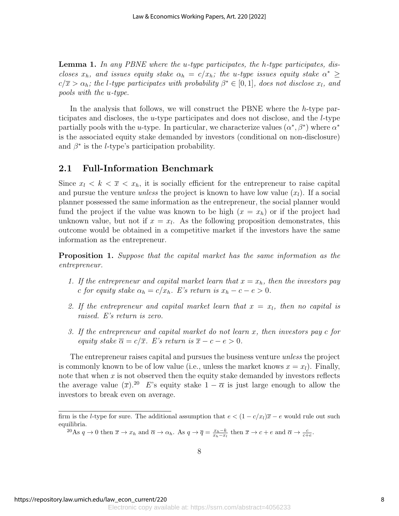**Lemma 1.** In any PBNE where the u-type participates, the h-type participates, discloses  $x_h$ , and issues equity stake  $\alpha_h = c/x_h$ ; the u-type issues equity stake  $\alpha^* \geq$  $c/\overline{x} > \alpha_h$ ; the l-type participates with probability  $\beta^* \in [0,1]$ , does not disclose  $x_l$ , and pools with the u-type.

In the analysis that follows, we will construct the PBNE where the h-type participates and discloses, the u-type participates and does not disclose, and the l-type partially pools with the u-type. In particular, we characterize values  $(\alpha^*, \beta^*)$  where  $\alpha^*$ is the associated equity stake demanded by investors (conditional on non-disclosure) and  $\beta^*$  is the *l*-type's participation probability.

#### 2.1 Full-Information Benchmark

Since  $x_l < k < \overline{x} < x_h$ , it is socially efficient for the entrepreneur to raise capital and pursue the venture *unless* the project is known to have low value  $(x_l)$ . If a social planner possessed the same information as the entrepreneur, the social planner would fund the project if the value was known to be high  $(x = x_h)$  or if the project had unknown value, but not if  $x = x_l$ . As the following proposition demonstrates, this outcome would be obtained in a competitive market if the investors have the same information as the entrepreneur.

**Proposition 1.** Suppose that the capital market has the same information as the entrepreneur.

- 1. If the entrepreneur and capital market learn that  $x = x_h$ , then the investors pay c for equity stake  $\alpha_h = c/x_h$ . E's return is  $x_h - c - e > 0$ .
- 2. If the entrepreneur and capital market learn that  $x = x<sub>l</sub>$ , then no capital is raised. E's return is zero.
- 3. If the entrepreneur and capital market do not learn x, then investors pay c for equity stake  $\overline{\alpha} = c/\overline{x}$ . E's return is  $\overline{x} - c - e > 0$ .

The entrepreneur raises capital and pursues the business venture *unless* the project is commonly known to be of low value (i.e., unless the market knows  $x = x<sub>l</sub>$ ). Finally, note that when  $x$  is not observed then the equity stake demanded by investors reflects the average value  $(\overline{x})^{20}$  E's equity stake  $1 - \overline{\alpha}$  is just large enough to allow the investors to break even on average.

<sup>20</sup>As  $q \to 0$  then  $\overline{x} \to x_h$  and  $\overline{\alpha} \to \alpha_h$ . As  $q \to \overline{q} = \frac{x_h - k}{x_h - x_l}$  then  $\overline{x} \to c + e$  and  $\overline{\alpha} \to \frac{c}{c+e}$ .

firm is the l-type for sure. The additional assumption that  $e < (1 - c/x_i)\overline{x} - e$  would rule out such equilibria.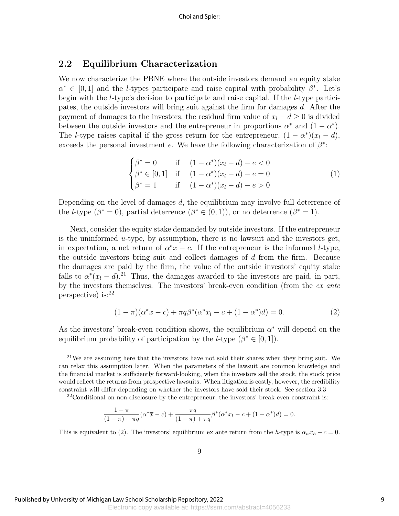### 2.2 Equilibrium Characterization

We now characterize the PBNE where the outside investors demand an equity stake  $\alpha^* \in [0,1]$  and the *l*-types participate and raise capital with probability  $\beta^*$ . Let's begin with the l-type's decision to participate and raise capital. If the l-type participates, the outside investors will bring suit against the firm for damages d. After the payment of damages to the investors, the residual firm value of  $x_l - d \geq 0$  is divided between the outside investors and the entrepreneur in proportions  $\alpha^*$  and  $(1 - \alpha^*)$ . The *l*-type raises capital if the gross return for the entrepreneur,  $(1 - \alpha^*)(x_l - d)$ , exceeds the personal investment e. We have the following characterization of  $\beta^*$ :

$$
\begin{cases}\n\beta^* = 0 & \text{if } (1 - \alpha^*)(x_l - d) - e < 0 \\
\beta^* \in [0, 1] & \text{if } (1 - \alpha^*)(x_l - d) - e = 0 \\
\beta^* = 1 & \text{if } (1 - \alpha^*)(x_l - d) - e > 0\n\end{cases}
$$
\n(1)

Depending on the level of damages  $d$ , the equilibrium may involve full deterrence of the *l*-type  $(\beta^* = 0)$ , partial deterrence  $(\beta^* \in (0, 1))$ , or no deterrence  $(\beta^* = 1)$ .

Next, consider the equity stake demanded by outside investors. If the entrepreneur is the uninformed  $u$ -type, by assumption, there is no lawsuit and the investors get, in expectation, a net return of  $\alpha^* \overline{x} - c$ . If the entrepreneur is the informed *l*-type, the outside investors bring suit and collect damages of d from the firm. Because the damages are paid by the firm, the value of the outside investors' equity stake falls to  $\alpha^*(x_l - d)$ .<sup>21</sup> Thus, the damages awarded to the investors are paid, in part, by the investors themselves. The investors' break-even condition (from the ex ante perspective) is:<sup>22</sup>

$$
(1 - \pi)(\alpha^* \overline{x} - c) + \pi q \beta^* (\alpha^* x_l - c + (1 - \alpha^*) d) = 0.
$$
 (2)

As the investors' break-even condition shows, the equilibrium  $\alpha^*$  will depend on the equilibrium probability of participation by the *l*-type  $(\beta^* \in [0, 1])$ .

$$
\frac{1-\pi}{(1-\pi)+\pi q}(\alpha^* \overline{x}-c)+\frac{\pi q}{(1-\pi)+\pi q}\beta^*(\alpha^* x_l-c+(1-\alpha^*)d)=0.
$$

This is equivalent to (2). The investors' equilibrium ex ante return from the h-type is  $\alpha_h x_h - c = 0$ .

<sup>21</sup>We are assuming here that the investors have not sold their shares when they bring suit. We can relax this assumption later. When the parameters of the lawsuit are common knowledge and the financial market is sufficiently forward-looking, when the investors sell the stock, the stock price would reflect the returns from prospective lawsuits. When litigation is costly, however, the credibility constraint will differ depending on whether the investors have sold their stock. See section 3.3

 $22$ Conditional on non-disclosure by the entrepreneur, the investors' break-even constraint is: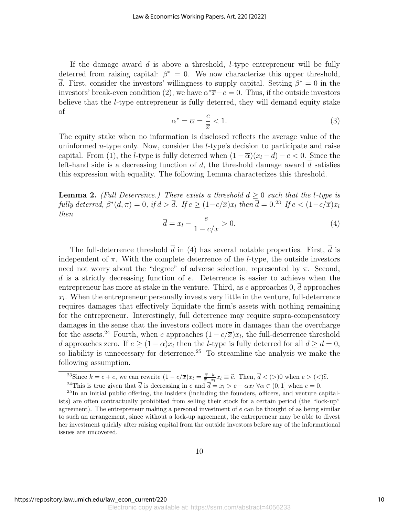If the damage award  $d$  is above a threshold, *l*-type entrepreneur will be fully deterred from raising capital:  $\beta^* = 0$ . We now characterize this upper threshold,  $\overline{d}$ . First, consider the investors' willingness to supply capital. Setting  $\beta^* = 0$  in the investors' break-even condition (2), we have  $\alpha^*\bar{x}-c=0$ . Thus, if the outside investors believe that the l-type entrepreneur is fully deterred, they will demand equity stake of

$$
\alpha^* = \overline{\alpha} = \frac{c}{\overline{x}} < 1. \tag{3}
$$

The equity stake when no information is disclosed reflects the average value of the uninformed  $u$ -type only. Now, consider the *l*-type's decision to participate and raise capital. From (1), the *l*-type is fully deterred when  $(1 - \overline{\alpha})(x_l - d) - e < 0$ . Since the left-hand side is a decreasing function of d, the threshold damage award  $\overline{d}$  satisfies this expression with equality. The following Lemma characterizes this threshold.

**Lemma 2.** (Full Deterrence.) There exists a threshold  $d \geq 0$  such that the *l*-type is fully deterred,  $\beta^*(d, \pi) = 0$ , if  $d > \overline{d}$ . If  $e \geq (1 - c/\overline{x})x_l$  then  $\overline{d} = 0.^{23}$  If  $e < (1 - c/\overline{x})x_l$ then

$$
\overline{d} = x_l - \frac{e}{1 - c/\overline{x}} > 0.
$$
\n<sup>(4)</sup>

The full-deterrence threshold  $\bar{d}$  in (4) has several notable properties. First,  $\bar{d}$  is independent of  $\pi$ . With the complete deterrence of the *l*-type, the outside investors need not worry about the "degree" of adverse selection, represented by  $\pi$ . Second,  $\overline{d}$  is a strictly decreasing function of e. Deterrence is easier to achieve when the entrepreneur has more at stake in the venture. Third, as  $e$  approaches  $0, d$  approaches  $x_l$ . When the entrepreneur personally invests very little in the venture, full-deterrence requires damages that effectively liquidate the firm's assets with nothing remaining for the entrepreneur. Interestingly, full deterrence may require supra-compensatory damages in the sense that the investors collect more in damages than the overcharge for the assets.<sup>24</sup> Fourth, when e approaches  $(1 - c/\overline{x})x_l$ , the full-deterrence threshold  $\overline{d}$  approaches zero. If  $e \geq (1 - \overline{\alpha})x_l$  then the *l*-type is fully deterred for all  $d \geq \overline{d} = 0$ , so liability is unnecessary for deterrence.<sup>25</sup> To streamline the analysis we make the following assumption.

<sup>&</sup>lt;sup>23</sup>Since  $k = c + e$ , we can rewrite  $(1 - c/\overline{x})x_l = \frac{\overline{x} - k}{\overline{x} - x_l}x_l \equiv \hat{e}$ . Then,  $\overline{d} < (>0, 1)$  when  $e > (<)\hat{e}$ .

<sup>&</sup>lt;sup>24</sup>This is true given that  $\overline{d}$  is decreasing in e and  $\overline{d} = x_l > c - \alpha x_l \,\forall \alpha \in (0,1]$  when  $e = 0$ .

 $^{25}$ In an initial public offering, the insiders (including the founders, officers, and venture capitalists) are often contractually prohibited from selling their stock for a certain period (the "lock-up" agreement). The entrepreneur making a personal investment of  $e$  can be thought of as being similar to such an arrangement, since without a lock-up agreement, the entrepreneur may be able to divest her investment quickly after raising capital from the outside investors before any of the informational issues are uncovered.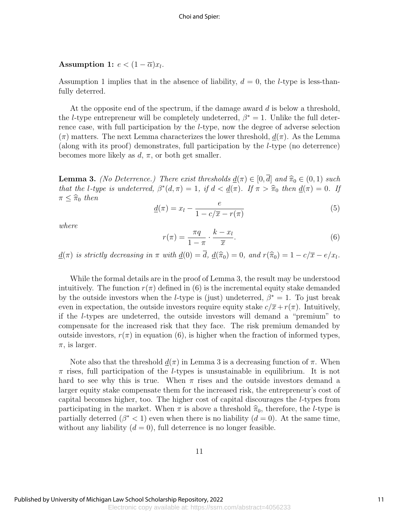#### Assumption 1:  $e < (1 - \overline{\alpha})x_l$ .

Assumption 1 implies that in the absence of liability,  $d = 0$ , the *l*-type is less-thanfully deterred.

At the opposite end of the spectrum, if the damage award  $d$  is below a threshold, the *l*-type entrepreneur will be completely undeterred,  $\beta^* = 1$ . Unlike the full deterrence case, with full participation by the l-type, now the degree of adverse selection  $(\pi)$  matters. The next Lemma characterizes the lower threshold,  $d(\pi)$ . As the Lemma (along with its proof) demonstrates, full participation by the l-type (no deterrence) becomes more likely as  $d, \pi$ , or both get smaller.

**Lemma 3.** (No Deterrence.) There exist thresholds  $\underline{d}(\pi) \in [0, \overline{d}]$  and  $\widehat{\pi}_0 \in (0, 1)$  such that the l-type is undeterred,  $\beta^*(d, \pi) = 1$ , if  $d < \underline{d}(\pi)$ . If  $\pi > \widehat{\pi}_0$  then  $\underline{d}(\pi) = 0$ . If  $\pi < \widehat{\pi}_0$ , then  $\pi < \hat{\pi}_0$  then

$$
\underline{d}(\pi) = x_l - \frac{e}{1 - c/\overline{x} - r(\pi)}\tag{5}
$$

where

$$
r(\pi) = \frac{\pi q}{1 - \pi} \cdot \frac{k - x_l}{\overline{x}}.
$$
 (6)

 $d(\pi)$  is strictly decreasing in  $\pi$  with  $d(0) = \overline{d}$ ,  $d(\widehat{\pi}_0) = 0$ , and  $r(\widehat{\pi}_0) = 1 - c/\overline{x} - e/x_l$ .

While the formal details are in the proof of Lemma 3, the result may be understood intuitively. The function  $r(\pi)$  defined in (6) is the incremental equity stake demanded by the outside investors when the *l*-type is (just) undeterred,  $\beta^* = 1$ . To just break even in expectation, the outside investors require equity stake  $c/\overline{x}+r(\pi)$ . Intuitively, if the l-types are undeterred, the outside investors will demand a "premium" to compensate for the increased risk that they face. The risk premium demanded by outside investors,  $r(\pi)$  in equation (6), is higher when the fraction of informed types,  $\pi$ , is larger.

Note also that the threshold  $\underline{d}(\pi)$  in Lemma 3 is a decreasing function of  $\pi$ . When  $\pi$  rises, full participation of the *l*-types is unsustainable in equilibrium. It is not hard to see why this is true. When  $\pi$  rises and the outside investors demand a larger equity stake compensate them for the increased risk, the entrepreneur's cost of capital becomes higher, too. The higher cost of capital discourages the l-types from participating in the market. When  $\pi$  is above a threshold  $\hat{\pi}_0$ , therefore, the *l*-type is partially deterred  $(\beta^* < 1)$  even when there is no liability  $(d = 0)$ . At the same time, without any liability  $(d = 0)$ , full deterrence is no longer feasible.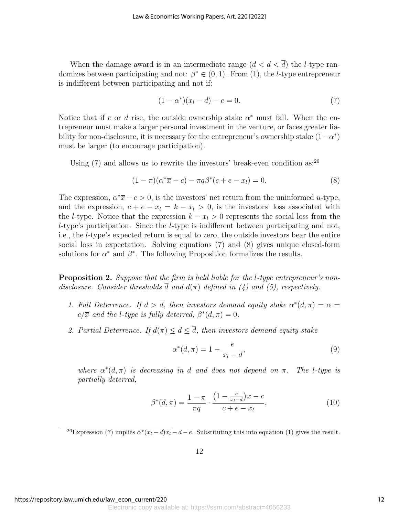When the damage award is in an intermediate range  $(d < d < \overline{d})$  the *l*-type randomizes between participating and not:  $\beta^* \in (0,1)$ . From (1), the *l*-type entrepreneur is indifferent between participating and not if:

$$
(1 - \alpha^*)(x_l - d) - e = 0.
$$
 (7)

Notice that if e or d rise, the outside ownership stake  $\alpha^*$  must fall. When the entrepreneur must make a larger personal investment in the venture, or faces greater liability for non-disclosure, it is necessary for the entrepreneur's ownership stake  $(1 - \alpha^*)$ must be larger (to encourage participation).

Using  $(7)$  and allows us to rewrite the investors' break-even condition as:  $^{26}$ 

$$
(1 - \pi)(\alpha^* \overline{x} - c) - \pi q \beta^* (c + e - x_l) = 0.
$$
 (8)

The expression,  $\alpha^* \overline{x} - c > 0$ , is the investors' net return from the uninformed u-type, and the expression,  $c + e - x_l = k - x_l > 0$ , is the investors' loss associated with the l-type. Notice that the expression  $k - x_l > 0$  represents the social loss from the  $l$ -type's participation. Since the  $l$ -type is indifferent between participating and not, i.e., the l-type's expected return is equal to zero, the outside investors bear the entire social loss in expectation. Solving equations (7) and (8) gives unique closed-form solutions for  $\alpha^*$  and  $\beta^*$ . The following Proposition formalizes the results.

**Proposition 2.** Suppose that the firm is held liable for the l-type entrepreneur's nondisclosure. Consider thresholds  $\overline{d}$  and  $d(\pi)$  defined in (4) and (5), respectively.

- 1. Full Deterrence. If  $d > \overline{d}$ , then investors demand equity stake  $\alpha^*(d, \pi) = \overline{\alpha}$  $c/\overline{x}$  and the l-type is fully deterred,  $\beta^*(d, \pi) = 0$ .
- 2. Partial Deterrence. If  $d(\pi) \leq d \leq \overline{d}$ , then investors demand equity stake

$$
\alpha^*(d,\pi) = 1 - \frac{e}{x_l - d},\tag{9}
$$

where  $\alpha^*(d, \pi)$  is decreasing in d and does not depend on  $\pi$ . The l-type is partially deterred,

$$
\beta^*(d,\pi) = \frac{1-\pi}{\pi q} \cdot \frac{\left(1 - \frac{e}{x_l - d}\right)\overline{x} - c}{c + e - x_l},\tag{10}
$$

<sup>26</sup>Expression (7) implies  $\alpha^*(x_l - d)x_l - d - e$ . Substituting this into equation (1) gives the result.

https://repository.law.umich.edu/law\_econ\_current/220

Electronic copy available at: https://ssrn.com/abstract=4056233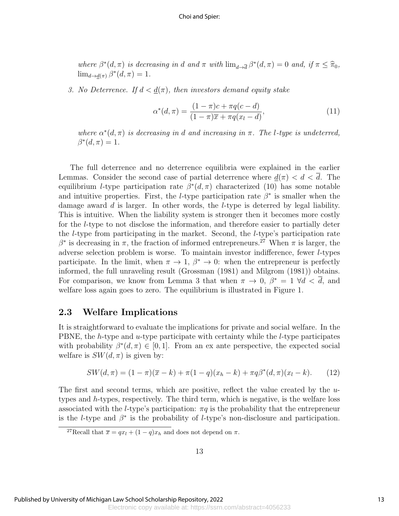where  $\beta^*(d, \pi)$  is decreasing in d and  $\pi$  with  $\lim_{d\to \overline{d}} \beta^*(d, \pi) = 0$  and, if  $\pi \leq \widehat{\pi}_0$ ,<br> $\lim_{d\to \infty} \beta^*(d, \pi) = 1$  $\lim_{d\to \underline{d}(\pi)} \beta^*(d, \pi) = 1.$ 

3. No Deterrence. If  $d < d(\pi)$ , then investors demand equity stake

$$
\alpha^*(d,\pi) = \frac{(1-\pi)c + \pi q(c-d)}{(1-\pi)\overline{x} + \pi q(x_l - d)},\tag{11}
$$

where  $\alpha^*(d, \pi)$  is decreasing in d and increasing in  $\pi$ . The l-type is undeterred,  $\beta^*(d,\pi)=1.$ 

The full deterrence and no deterrence equilibria were explained in the earlier Lemmas. Consider the second case of partial deterrence where  $\underline{d}(\pi) < d < \overline{d}$ . The equilibrium *l*-type participation rate  $\beta^*(d, \pi)$  characterized (10) has some notable and intuitive properties. First, the *l*-type participation rate  $\beta^*$  is smaller when the damage award  $d$  is larger. In other words, the *l*-type is deterred by legal liability. This is intuitive. When the liability system is stronger then it becomes more costly for the l-type to not disclose the information, and therefore easier to partially deter the l-type from participating in the market. Second, the l-type's participation rate  $β*$  is decreasing in π, the fraction of informed entrepreneurs.<sup>27</sup> When π is larger, the adverse selection problem is worse. To maintain investor indifference, fewer l-types participate. In the limit, when  $\pi \to 1$ ,  $\beta^* \to 0$ : when the entrepreneur is perfectly informed, the full unraveling result (Grossman (1981) and Milgrom (1981)) obtains. For comparison, we know from Lemma 3 that when  $\pi \to 0$ ,  $\beta^* = 1 \ \forall d \lt d$ , and welfare loss again goes to zero. The equilibrium is illustrated in Figure 1.

#### 2.3 Welfare Implications

It is straightforward to evaluate the implications for private and social welfare. In the PBNE, the h-type and u-type participate with certainty while the l-type participates with probability  $\beta^*(d, \pi) \in [0, 1]$ . From an ex ante perspective, the expected social welfare is  $SW(d, \pi)$  is given by:

$$
SW(d,\pi) = (1-\pi)(\overline{x}-k) + \pi(1-q)(x_h - k) + \pi q \beta^*(d,\pi)(x_l - k). \tag{12}
$$

The first and second terms, which are positive, reflect the value created by the utypes and  $h$ -types, respectively. The third term, which is negative, is the welfare loss associated with the *l*-type's participation:  $\pi q$  is the probability that the entrepreneur is the *l*-type and  $\beta^*$  is the probability of *l*-type's non-disclosure and participation.

<sup>&</sup>lt;sup>27</sup>Recall that  $\overline{x} = qx_l + (1 - q)x_h$  and does not depend on  $\pi$ .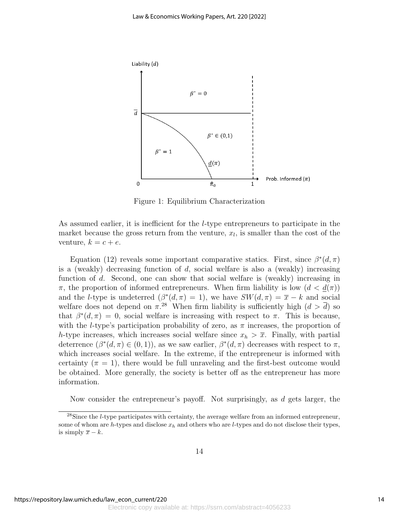

Figure 1: Equilibrium Characterization

As assumed earlier, it is inefficient for the l-type entrepreneurs to participate in the market because the gross return from the venture,  $x_l$ , is smaller than the cost of the venture,  $k = c + e$ .

Equation (12) reveals some important comparative statics. First, since  $\beta^*(d, \pi)$ is a (weakly) decreasing function of  $d$ , social welfare is also a (weakly) increasing function of d. Second, one can show that social welfare is (weakly) increasing in  $\pi$ , the proportion of informed entrepreneurs. When firm liability is low  $(d < d(\pi))$ and the *l*-type is undeterred  $(\beta^*(d, \pi) = 1)$ , we have  $SW(d, \pi) = \overline{x} - k$  and social welfare does not depend on  $\pi^{28}$  When firm liability is sufficiently high  $(d > \overline{d})$  so that  $\beta^*(d, \pi) = 0$ , social welfare is increasing with respect to  $\pi$ . This is because, with the *l*-type's participation probability of zero, as  $\pi$  increases, the proportion of h-type increases, which increases social welfare since  $x_h > \overline{x}$ . Finally, with partial deterrence  $(\beta^*(d, \pi) \in (0, 1))$ , as we saw earlier,  $\beta^*(d, \pi)$  decreases with respect to  $\pi$ , which increases social welfare. In the extreme, if the entrepreneur is informed with certainty  $(\pi = 1)$ , there would be full unraveling and the first-best outcome would be obtained. More generally, the society is better off as the entrepreneur has more information.

Now consider the entrepreneur's payoff. Not surprisingly, as d gets larger, the

 $^{28}$ Since the *l*-type participates with certainty, the average welfare from an informed entrepreneur, some of whom are h-types and disclose  $x_h$  and others who are l-types and do not disclose their types, is simply  $\overline{x} - k$ .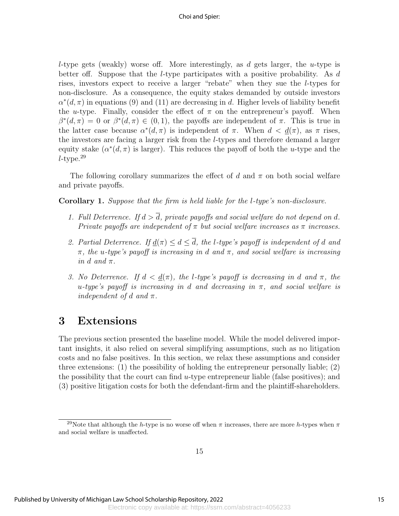l-type gets (weakly) worse off. More interestingly, as d gets larger, the u-type is better off. Suppose that the *l*-type participates with a positive probability. As d rises, investors expect to receive a larger "rebate" when they sue the l-types for non-disclosure. As a consequence, the equity stakes demanded by outside investors  $\alpha^*(d, \pi)$  in equations (9) and (11) are decreasing in d. Higher levels of liability benefit the u-type. Finally, consider the effect of  $\pi$  on the entrepreneur's payoff. When  $\beta^*(d,\pi) = 0$  or  $\beta^*(d,\pi) \in (0,1)$ , the payoffs are independent of  $\pi$ . This is true in the latter case because  $\alpha^*(d, \pi)$  is independent of  $\pi$ . When  $d < d(\pi)$ , as  $\pi$  rises, the investors are facing a larger risk from the l-types and therefore demand a larger equity stake  $(\alpha^*(d, \pi))$  is larger). This reduces the payoff of both the u-type and the  $l$ -type. $29$ 

The following corollary summarizes the effect of d and  $\pi$  on both social welfare and private payoffs.

Corollary 1. Suppose that the firm is held liable for the l-type's non-disclosure.

- 1. Full Deterrence. If  $d > \overline{d}$ , private payoffs and social welfare do not depend on d. Private payoffs are independent of  $\pi$  but social welfare increases as  $\pi$  increases.
- 2. Partial Deterrence. If  $d(\pi) \leq d \leq \overline{d}$ , the l-type's payoff is independent of d and  $\pi$ , the u-type's payoff is increasing in d and  $\pi$ , and social welfare is increasing in d and  $\pi$ .
- 3. No Deterrence. If  $d < d(\pi)$ , the l-type's payoff is decreasing in d and  $\pi$ , the u-type's payoff is increasing in d and decreasing in  $\pi$ , and social welfare is independent of d and  $\pi$ .

# 3 Extensions

The previous section presented the baseline model. While the model delivered important insights, it also relied on several simplifying assumptions, such as no litigation costs and no false positives. In this section, we relax these assumptions and consider three extensions: (1) the possibility of holding the entrepreneur personally liable; (2) the possibility that the court can find  $u$ -type entrepreneur liable (false positives); and (3) positive litigation costs for both the defendant-firm and the plaintiff-shareholders.

<sup>&</sup>lt;sup>29</sup>Note that although the h-type is no worse off when  $\pi$  increases, there are more h-types when  $\pi$ and social welfare is unaffected.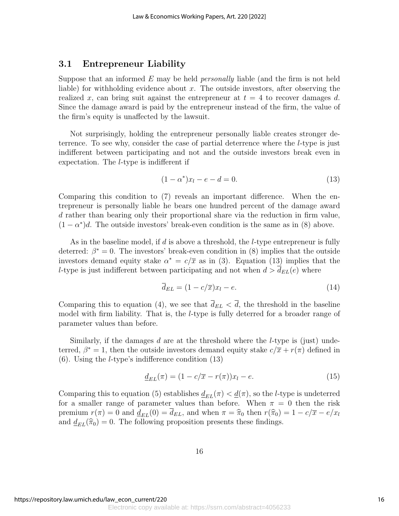### 3.1 Entrepreneur Liability

Suppose that an informed E may be held *personally* liable (and the firm is not held liable) for withholding evidence about  $x$ . The outside investors, after observing the realized x, can bring suit against the entrepreneur at  $t = 4$  to recover damages d. Since the damage award is paid by the entrepreneur instead of the firm, the value of the firm's equity is unaffected by the lawsuit.

Not surprisingly, holding the entrepreneur personally liable creates stronger deterrence. To see why, consider the case of partial deterrence where the l-type is just indifferent between participating and not and the outside investors break even in expectation. The l-type is indifferent if

$$
(1 - \alpha^*)x_l - e - d = 0.
$$
 (13)

Comparing this condition to (7) reveals an important difference. When the entrepreneur is personally liable he bears one hundred percent of the damage award d rather than bearing only their proportional share via the reduction in firm value,  $(1 - \alpha^*)d$ . The outside investors' break-even condition is the same as in (8) above.

As in the baseline model, if  $d$  is above a threshold, the *l*-type entrepreneur is fully deterred:  $\beta^* = 0$ . The investors' break-even condition in (8) implies that the outside investors demand equity stake  $\alpha^* = c/\overline{x}$  as in (3). Equation (13) implies that the l-type is just indifferent between participating and not when  $d > d_{EL}(e)$  where

$$
\overline{d}_{EL} = (1 - c/\overline{x})x_l - e. \tag{14}
$$

Comparing this to equation (4), we see that  $\bar{d}_{EL} < \bar{d}$ , the threshold in the baseline model with firm liability. That is, the *l*-type is fully deterred for a broader range of parameter values than before.

Similarly, if the damages d are at the threshold where the *l*-type is (just) undeterred,  $\beta^* = 1$ , then the outside investors demand equity stake  $c/\overline{x} + r(\pi)$  defined in (6). Using the l-type's indifference condition (13)

$$
\underline{d}_{EL}(\pi) = (1 - c/\overline{x} - r(\pi))x_l - e.
$$
\n(15)

Comparing this to equation (5) establishes  $d_{EL}(\pi) < d(\pi)$ , so the *l*-type is undeterred for a smaller range of parameter values than before. When  $\pi = 0$  then the risk premium  $r(\pi) = 0$  and  $\underline{d}_{EL}(0) = \overline{d}_{EL}$ , and when  $\pi = \hat{\pi}_0$  then  $r(\hat{\pi}_0) = 1 - c/\overline{x} - e/x_l$ and  $\underline{d}_{EL}(\hat{\pi}_0) = 0$ . The following proposition presents these findings.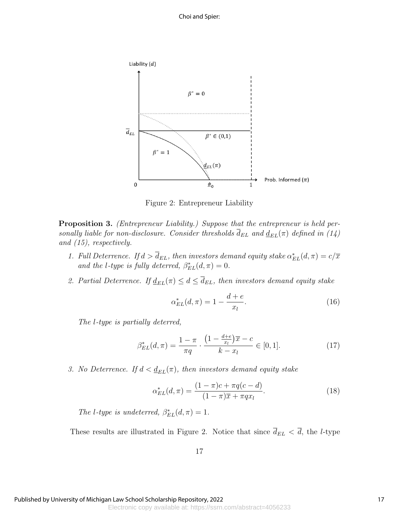

Figure 2: Entrepreneur Liability

**Proposition 3.** (Entrepreneur Liability.) Suppose that the entrepreneur is held personally liable for non-disclosure. Consider thresholds  $\bar{d}_{EL}$  and  $\underline{d}_{EL}(\pi)$  defined in (14) and (15), respectively.

- 1. Full Deterrence. If  $d > \bar{d}_{EL}$ , then investors demand equity stake  $\alpha_{EL}^*(d, \pi) = c/\overline{x}$ and the l-type is fully deterred,  $\beta_{EL}^{*}(d, \pi) = 0$ .
- 2. Partial Deterrence. If  $\underline{d}_{EL}(\pi) \leq d \leq \overline{d}_{EL}$ , then investors demand equity stake

$$
\alpha_{EL}^*(d, \pi) = 1 - \frac{d+e}{x_l}.
$$
\n(16)

The l-type is partially deterred,

$$
\beta_{EL}^*(d, \pi) = \frac{1 - \pi}{\pi q} \cdot \frac{\left(1 - \frac{d + e}{x_l}\right)\overline{x} - c}{k - x_l} \in [0, 1].\tag{17}
$$

3. No Deterrence. If  $d < \underline{d}_{EL}(\pi)$ , then investors demand equity stake

$$
\alpha_{EL}^*(d, \pi) = \frac{(1 - \pi)c + \pi q(c - d)}{(1 - \pi)\overline{x} + \pi q x_l}.
$$
\n(18)

The l-type is undeterred,  $\beta_{EL}^{*}(d, \pi) = 1$ .

These results are illustrated in Figure 2. Notice that since  $\overline{d}_{EL} < \overline{d}$ , the *l*-type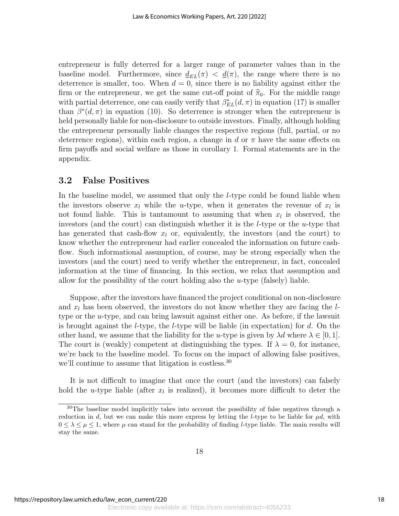entrepreneur is fully deterred for a larger range of parameter values than in the baseline model. Furthermore, since  $\underline{d}_{EL}(\pi) < \underline{d}(\pi)$ , the range where there is no deterrence is smaller, too. When  $d = 0$ , since there is no liability against either the firm or the entrepreneur, we get the same cut-off point of  $\hat{\pi}_0$ . For the middle range with partial deterrence, one can easily verify that  $\beta_{EL}^*(d, \pi)$  in equation (17) is smaller than  $\beta^*(d, \pi)$  in equation (10). So deterrence is stronger when the entrepreneur is held personally liable for non-disclosure to outside investors. Finally, although holding the entrepreneur personally liable changes the respective regions (full, partial, or no deterrence regions), within each region, a change in d or  $\pi$  have the same effects on firm payoffs and social welfare as those in corollary 1. Formal statements are in the appendix.

### 3.2 False Positives

In the baseline model, we assumed that only the *l*-type could be found liable when the investors observe  $x_l$  while the u-type, when it generates the revenue of  $x_l$  is not found liable. This is tantamount to assuming that when  $x_l$  is observed, the investors (and the court) can distinguish whether it is the *l*-type or the *u*-type that has generated that cash-flow  $x_l$  or, equivalently, the investors (and the court) to know whether the entrepreneur had earlier concealed the information on future cashflow. Such informational assumption, of course, may be strong especially when the investors (and the court) need to verify whether the entrepreneur, in fact, concealed information at the time of financing. In this section, we relax that assumption and allow for the possibility of the court holding also the  $u$ -type (falsely) liable.

Suppose, after the investors have financed the project conditional on non-disclosure and  $x_l$  has been observed, the investors do not know whether they are facing the  $l$ type or the u-type, and can bring lawsuit against either one. As before, if the lawsuit is brought against the *l*-type, the *l*-type will be liable (in expectation) for  $d$ . On the other hand, we assume that the liability for the u-type is given by  $\lambda d$  where  $\lambda \in [0, 1]$ . The court is (weakly) competent at distinguishing the types. If  $\lambda = 0$ , for instance, we're back to the baseline model. To focus on the impact of allowing false positives, we'll continue to assume that litigation is costless.<sup>30</sup>

It is not difficult to imagine that once the court (and the investors) can falsely hold the *u*-type liable (after  $x_l$  is realized), it becomes more difficult to deter the

<sup>&</sup>lt;sup>30</sup>The baseline model implicitly takes into account the possibility of false negatives through a reduction in d, but we can make this more express by letting the l-type to be liable for  $\mu d$ , with  $0 \leq \lambda \leq \mu \leq 1$ , where  $\mu$  can stand for the probability of finding *l*-type liable. The main results will stay the same.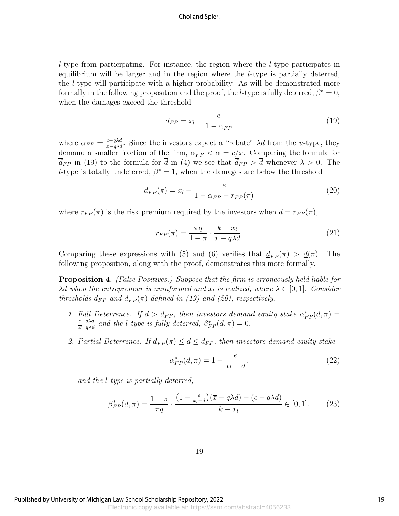#### Choi and Spier:

 $l$ -type from participating. For instance, the region where the  $l$ -type participates in equilibrium will be larger and in the region where the l-type is partially deterred, the l-type will participate with a higher probability. As will be demonstrated more formally in the following proposition and the proof, the *l*-type is fully deterred,  $\beta^* = 0$ , when the damages exceed the threshold

$$
\overline{d}_{FP} = x_l - \frac{e}{1 - \overline{\alpha}_{FP}}\tag{19}
$$

where  $\overline{\alpha}_{FP} = \frac{c-q\lambda d}{\overline{x}-q\lambda d}$ . Since the investors expect a "rebate"  $\lambda d$  from the u-type, they demand a smaller fraction of the firm,  $\overline{\alpha}_{FP} < \overline{\alpha} = c/\overline{x}$ . Comparing the formula for  $\bar{d}_{FP}$  in (19) to the formula for  $\bar{d}$  in (4) we see that  $\bar{d}_{FP} > \bar{d}$  whenever  $\lambda > 0$ . The l-type is totally undeterred,  $\beta^* = 1$ , when the damages are below the threshold

$$
\underline{d}_{FP}(\pi) = x_l - \frac{e}{1 - \overline{\alpha}_{FP} - r_{FP}(\pi)}\tag{20}
$$

where  $r_{FP}(\pi)$  is the risk premium required by the investors when  $d = r_{FP}(\pi)$ ,

$$
r_{FP}(\pi) = \frac{\pi q}{1 - \pi} \cdot \frac{k - x_l}{\overline{x} - q\lambda d}.\tag{21}
$$

Comparing these expressions with (5) and (6) verifies that  $d_{FP}(\pi) > d(\pi)$ . The following proposition, along with the proof, demonstrates this more formally.

**Proposition 4.** (False Positives.) Suppose that the firm is erroneously held liable for  $\lambda$ d when the entrepreneur is uninformed and  $x<sub>l</sub>$  is realized, where  $\lambda \in [0,1]$ . Consider thresholds  $\overline{d}_{FP}$  and  $\underline{d}_{FP}(\pi)$  defined in (19) and (20), respectively.

- 1. Full Deterrence. If  $d > \bar{d}_{FP}$ , then investors demand equity stake  $\alpha_{FP}^*(d, \pi) =$  $\frac{c-q\lambda d}{\overline{x}-q\lambda d}$  and the l-type is fully deterred,  $\beta_{FP}^*(d,\pi)=0$ .
- 2. Partial Deterrence. If  $\underline{d}_{FP}(\pi) \leq d \leq \overline{d}_{FP}$ , then investors demand equity stake

$$
\alpha_{FP}^*(d, \pi) = 1 - \frac{e}{x_l - d}.\tag{22}
$$

and the l-type is partially deterred,

$$
\beta_{FP}^*(d,\pi) = \frac{1-\pi}{\pi q} \cdot \frac{\left(1 - \frac{e}{x_l - d}\right)(\overline{x} - q\lambda d) - (c - q\lambda d)}{k - x_l} \in [0, 1].\tag{23}
$$

19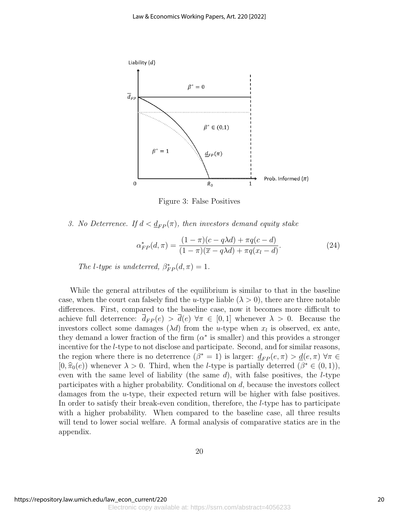

Figure 3: False Positives

3. No Deterrence. If  $d < \underline{d}_{FP}(\pi)$ , then investors demand equity stake

$$
\alpha_{FP}^*(d,\pi) = \frac{(1-\pi)(c-q\lambda d) + \pi q(c-d)}{(1-\pi)(\overline{x}-q\lambda d) + \pi q(x_l - d)}.
$$
\n(24)

The l-type is undeterred,  $\beta_{FP}^*(d, \pi) = 1$ .

While the general attributes of the equilibrium is similar to that in the baseline case, when the court can falsely find the u-type liable  $(\lambda > 0)$ , there are three notable differences. First, compared to the baseline case, now it becomes more difficult to achieve full deterrence:  $\overline{d}_{FP}(e) > \overline{d}(e) \,\forall \pi \in [0,1]$  whenever  $\lambda > 0$ . Because the investors collect some damages  $(\lambda d)$  from the *u*-type when  $x_l$  is observed, ex ante, they demand a lower fraction of the firm  $(\alpha^*)$  is smaller) and this provides a stronger incentive for the l-type to not disclose and participate. Second, and for similar reasons, the region where there is no deterrence  $(\beta^* = 1)$  is larger:  $\underline{d}_{FP}(e, \pi) > \underline{d}(e, \pi)$   $\forall \pi \in$ [0,  $\hat{\pi}_0(e)$ ) whenever  $\lambda > 0$ . Third, when the *l*-type is partially deterred ( $\beta^* \in (0,1)$ ), we see the later of lightlity (the same d) with false positives the *l* type even with the same level of liability (the same  $d$ ), with false positives, the *l*-type participates with a higher probability. Conditional on d, because the investors collect damages from the *u*-type, their expected return will be higher with false positives. In order to satisfy their break-even condition, therefore, the l-type has to participate with a higher probability. When compared to the baseline case, all three results will tend to lower social welfare. A formal analysis of comparative statics are in the appendix.

20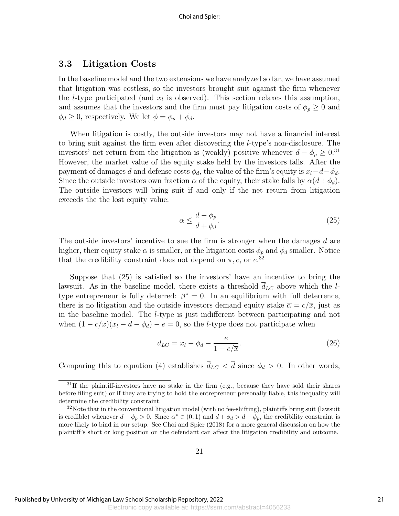### 3.3 Litigation Costs

In the baseline model and the two extensions we have analyzed so far, we have assumed that litigation was costless, so the investors brought suit against the firm whenever the *l*-type participated (and  $x_l$  is observed). This section relaxes this assumption, and assumes that the investors and the firm must pay litigation costs of  $\phi_p \geq 0$  and  $\phi_d \geq 0$ , respectively. We let  $\phi = \phi_p + \phi_d$ .

When litigation is costly, the outside investors may not have a financial interest to bring suit against the firm even after discovering the l-type's non-disclosure. The investors' net return from the litigation is (weakly) positive whenever  $d - \phi_p \geq 0.31$ However, the market value of the equity stake held by the investors falls. After the payment of damages d and defense costs  $\phi_d$ , the value of the firm's equity is  $x_l-d-\phi_d$ . Since the outside investors own fraction  $\alpha$  of the equity, their stake falls by  $\alpha(d+\phi_d)$ . The outside investors will bring suit if and only if the net return from litigation exceeds the the lost equity value:

$$
\alpha \le \frac{d - \phi_p}{d + \phi_d}.\tag{25}
$$

The outside investors' incentive to sue the firm is stronger when the damages d are higher, their equity stake  $\alpha$  is smaller, or the litigation costs  $\phi_p$  and  $\phi_d$  smaller. Notice that the credibility constraint does not depend on  $\pi$ , c, or  $e^{i32}$ .

Suppose that (25) is satisfied so the investors' have an incentive to bring the lawsuit. As in the baseline model, there exists a threshold  $\overline{d}_{LC}$  above which the ltype entrepreneur is fully deterred:  $\beta^* = 0$ . In an equilibrium with full deterrence, there is no litigation and the outside investors demand equity stake  $\overline{\alpha} = c/\overline{x}$ , just as in the baseline model. The l-type is just indifferent between participating and not when  $(1 - c/\overline{x})(x_l - d - \phi_d) - e = 0$ , so the *l*-type does not participate when

$$
\overline{d}_{LC} = x_l - \phi_d - \frac{e}{1 - c/\overline{x}}.\tag{26}
$$

Comparing this to equation (4) establishes  $\bar{d}_{LC} < \bar{d}$  since  $\phi_d > 0$ . In other words,

 $31$ If the plaintiff-investors have no stake in the firm (e.g., because they have sold their shares before filing suit) or if they are trying to hold the entrepreneur personally liable, this inequality will determine the credibility constraint.

 $32$ Note that in the conventional litigation model (with no fee-shifting), plaintiffs bring suit (lawsuit is credible) whenever  $d - \phi_p > 0$ . Since  $\alpha^* \in (0, 1)$  and  $d + \phi_d > d - \phi_p$ , the credibility constraint is more likely to bind in our setup. See Choi and Spier (2018) for a more general discussion on how the plaintiff's short or long position on the defendant can affect the litigation credibility and outcome.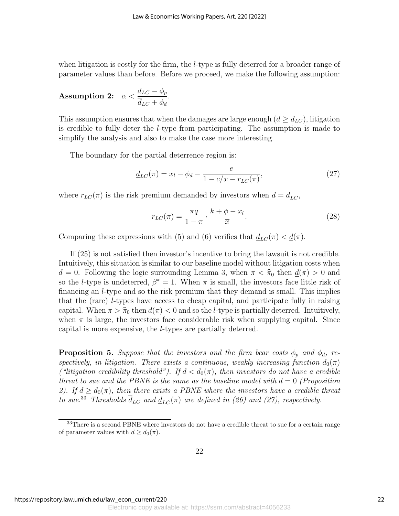when litigation is costly for the firm, the *l*-type is fully deterred for a broader range of parameter values than before. Before we proceed, we make the following assumption:

**Assumption 2:** 
$$
\overline{\alpha} < \frac{\overline{d}_{LC} - \phi_p}{\overline{d}_{LC} + \phi_d}.
$$

This assumption ensures that when the damages are large enough  $(d \geq d_{LC})$ , litigation is credible to fully deter the l-type from participating. The assumption is made to simplify the analysis and also to make the case more interesting.

The boundary for the partial deterrence region is:

$$
\underline{d}_{LC}(\pi) = x_l - \phi_d - \frac{e}{1 - c/\overline{x} - r_{LC}(\pi)},
$$
\n(27)

where  $r_{LC}(\pi)$  is the risk premium demanded by investors when  $d = \underline{d}_{LC}$ ,

$$
r_{LC}(\pi) = \frac{\pi q}{1 - \pi} \cdot \frac{k + \phi - x_l}{\overline{x}}.
$$
\n(28)

Comparing these expressions with (5) and (6) verifies that  $\underline{d}_{LC}(\pi) < \underline{d}(\pi)$ .

If (25) is not satisfied then investor's incentive to bring the lawsuit is not credible. Intuitively, this situation is similar to our baseline model without litigation costs when  $d = 0$ . Following the logic surrounding Lemma 3, when  $\pi < \hat{\pi}_0$  then  $d(\pi) > 0$  and so the *l*-type is undeterred,  $\beta^* = 1$ . When  $\pi$  is small, the investors face little risk of financing an l-type and so the risk premium that they demand is small. This implies that the (rare) l-types have access to cheap capital, and participate fully in raising capital. When  $\pi > \hat{\pi}_0$  then  $\underline{d}(\pi) < 0$  and so the *l*-type is partially deterred. Intuitively, when  $\pi$  is large, the investors face considerable risk when supplying capital. Since capital is more expensive, the l-types are partially deterred.

**Proposition 5.** Suppose that the investors and the firm bear costs  $\phi_p$  and  $\phi_d$ , respectively, in litigation. There exists a continuous, weakly increasing function  $d_0(\pi)$ ("litigation credibility threshold"). If  $d < d_0(\pi)$ , then investors do not have a credible threat to sue and the PBNE is the same as the baseline model with  $d = 0$  (Proposition 2). If  $d \geq d_0(\pi)$ , then there exists a PBNE where the investors have a credible threat to sue.<sup>33</sup> Thresholds  $\overline{d}_{LC}$  and  $\underline{d}_{LC}(\pi)$  are defined in (26) and (27), respectively.

<sup>33</sup>There is a second PBNE where investors do not have a credible threat to sue for a certain range of parameter values with  $d \geq d_0(\pi)$ .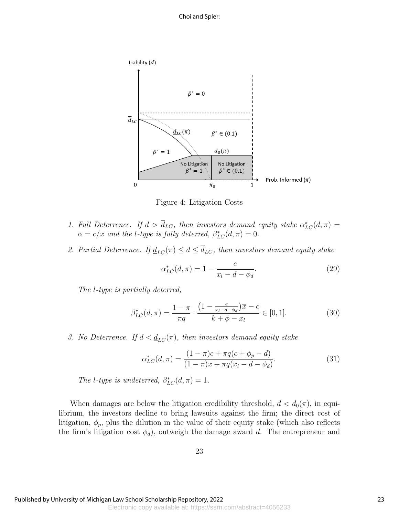

Figure 4: Litigation Costs

- 1. Full Deterrence. If  $d > \bar{d}_{LC}$ , then investors demand equity stake  $\alpha_{LC}^*(d, \pi) =$  $\overline{\alpha} = c/\overline{x}$  and the l-type is fully deterred,  $\beta_{LC}^*(d, \pi) = 0$ .
- 2. Partial Deterrence. If  $\underline{d}_{LC}(\pi) \leq d \leq \overline{d}_{LC}$ , then investors demand equity stake

$$
\alpha_{LC}^*(d,\pi) = 1 - \frac{e}{x_l - d - \phi_d}.\tag{29}
$$

The l-type is partially deterred,

$$
\beta_{LC}^*(d,\pi) = \frac{1-\pi}{\pi q} \cdot \frac{\left(1 - \frac{e}{x_l - d - \phi_d}\right)\overline{x} - c}{k + \phi - x_l} \in [0,1].\tag{30}
$$

3. No Deterrence. If  $d < d_{LC}(\pi)$ , then investors demand equity stake

$$
\alpha_{LC}^*(d,\pi) = \frac{(1-\pi)c + \pi q(c + \phi_p - d)}{(1-\pi)\overline{x} + \pi q(x_l - d - \phi_d)}.
$$
(31)

The l-type is undeterred,  $\beta_{LC}^*(d, \pi) = 1$ .

When damages are below the litigation credibility threshold,  $d < d_0(\pi)$ , in equilibrium, the investors decline to bring lawsuits against the firm; the direct cost of litigation,  $\phi_p$ , plus the dilution in the value of their equity stake (which also reflects the firm's litigation cost  $\phi_d$ ), outweigh the damage award d. The entrepreneur and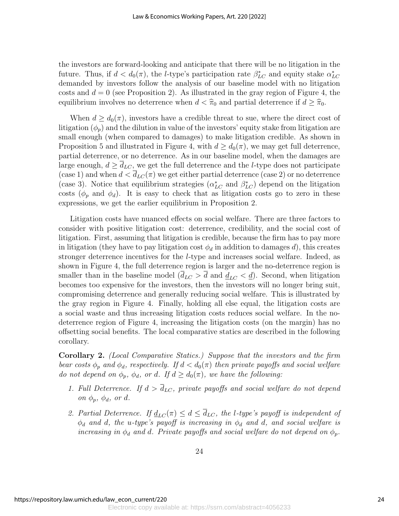the investors are forward-looking and anticipate that there will be no litigation in the future. Thus, if  $d < d_0(\pi)$ , the *l*-type's participation rate  $\beta_{LC}^*$  and equity stake  $\alpha_{LC}^*$ demanded by investors follow the analysis of our baseline model with no litigation costs and  $d = 0$  (see Proposition 2). As illustrated in the gray region of Figure 4, the equilibrium involves no deterrence when  $d < \hat{\pi}_0$  and partial deterrence if  $d \geq \hat{\pi}_0$ .

When  $d \geq d_0(\pi)$ , investors have a credible threat to sue, where the direct cost of litigation  $(\phi_p)$  and the dilution in value of the investors' equity stake from litigation are small enough (when compared to damages) to make litigation credible. As shown in Proposition 5 and illustrated in Figure 4, with  $d \geq d_0(\pi)$ , we may get full deterrence, partial deterrence, or no deterrence. As in our baseline model, when the damages are large enough,  $d \geq \overline{d}_{LC}$ , we get the full deterrence and the *l*-type does not participate (case 1) and when  $d < d_{LC}(\pi)$  we get either partial deterrence (case 2) or no deterrence (case 3). Notice that equilibrium strategies  $(\alpha_{LC}^*$  and  $\beta_{LC}^*)$  depend on the litigation costs ( $\phi_p$  and  $\phi_d$ ). It is easy to check that as litigation costs go to zero in these expressions, we get the earlier equilibrium in Proposition 2.

Litigation costs have nuanced effects on social welfare. There are three factors to consider with positive litigation cost: deterrence, credibility, and the social cost of litigation. First, assuming that litigation is credible, because the firm has to pay more in litigation (they have to pay litigation cost  $\phi_d$  in addition to damages d), this creates stronger deterrence incentives for the l-type and increases social welfare. Indeed, as shown in Figure 4, the full deterrence region is larger and the no-deterrence region is smaller than in the baseline model  $(\bar{d}_{LC} > \bar{d} \text{ and } \underline{d}_{LC} < \underline{d})$ . Second, when litigation becomes too expensive for the investors, then the investors will no longer bring suit, compromising deterrence and generally reducing social welfare. This is illustrated by the gray region in Figure 4. Finally, holding all else equal, the litigation costs are a social waste and thus increasing litigation costs reduces social welfare. In the nodeterrence region of Figure 4, increasing the litigation costs (on the margin) has no offsetting social benefits. The local comparative statics are described in the following corollary.

Corollary 2. (Local Comparative Statics.) Suppose that the investors and the firm bear costs  $\phi_p$  and  $\phi_d$ , respectively. If  $d < d_0(\pi)$  then private payoffs and social welfare do not depend on  $\phi_p$ ,  $\phi_d$ , or d. If  $d \geq d_0(\pi)$ , we have the following:

- 1. Full Deterrence. If  $d > \overline{d}_{LC}$ , private payoffs and social welfare do not depend on  $\phi_p$ ,  $\phi_d$ , or d.
- 2. Partial Deterrence. If  $\underline{d}_{LC}(\pi) \leq d \leq \overline{d}_{LC}$ , the l-type's payoff is independent of  $\phi_d$  and d, the u-type's payoff is increasing in  $\phi_d$  and d, and social welfare is increasing in  $\phi_d$  and d. Private payoffs and social welfare do not depend on  $\phi_p$ .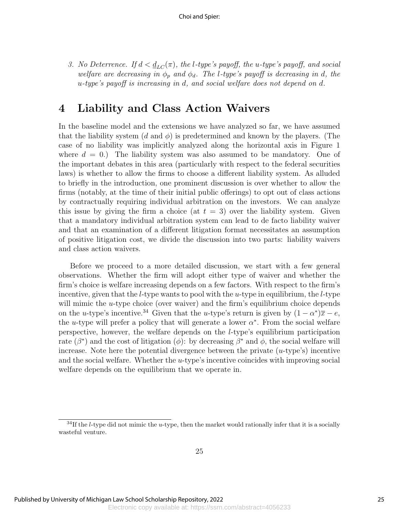3. No Deterrence. If  $d < \underline{d}_{LC}(\pi)$ , the l-type's payoff, the u-type's payoff, and social welfare are decreasing in  $\phi_p$  and  $\phi_d$ . The l-type's payoff is decreasing in d, the u-type's payoff is increasing in d, and social welfare does not depend on d.

# 4 Liability and Class Action Waivers

In the baseline model and the extensions we have analyzed so far, we have assumed that the liability system  $(d \text{ and } \phi)$  is predetermined and known by the players. (The case of no liability was implicitly analyzed along the horizontal axis in Figure 1 where  $d = 0$ .) The liability system was also assumed to be mandatory. One of the important debates in this area (particularly with respect to the federal securities laws) is whether to allow the firms to choose a different liability system. As alluded to briefly in the introduction, one prominent discussion is over whether to allow the firms (notably, at the time of their initial public offerings) to opt out of class actions by contractually requiring individual arbitration on the investors. We can analyze this issue by giving the firm a choice (at  $t = 3$ ) over the liability system. Given that a mandatory individual arbitration system can lead to de facto liability waiver and that an examination of a different litigation format necessitates an assumption of positive litigation cost, we divide the discussion into two parts: liability waivers and class action waivers.

Before we proceed to a more detailed discussion, we start with a few general observations. Whether the firm will adopt either type of waiver and whether the firm's choice is welfare increasing depends on a few factors. With respect to the firm's incentive, given that the *l*-type wants to pool with the *u*-type in equilibrium, the *l*-type will mimic the  $u$ -type choice (over waiver) and the firm's equilibrium choice depends on the u-type's incentive.<sup>34</sup> Given that the u-type's return is given by  $(1 - \alpha^*)\overline{x} - e$ , the u-type will prefer a policy that will generate a lower  $\alpha^*$ . From the social welfare perspective, however, the welfare depends on the l-type's equilibrium participation rate  $(\beta^*)$  and the cost of litigation  $(\phi)$ : by decreasing  $\beta^*$  and  $\phi$ , the social welfare will increase. Note here the potential divergence between the private  $(u$ -type's) incentive and the social welfare. Whether the u-type's incentive coincides with improving social welfare depends on the equilibrium that we operate in.

 $34$ If the *l*-type did not mimic the *u*-type, then the market would rationally infer that it is a socially wasteful venture.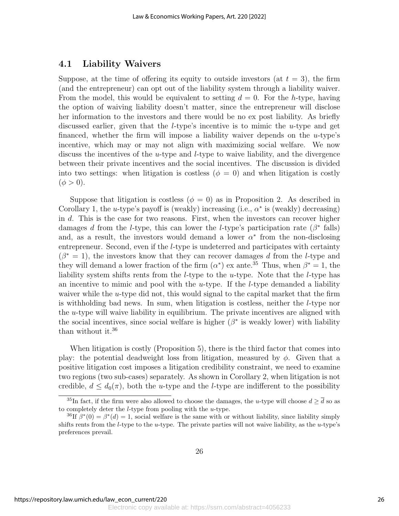#### 4.1 Liability Waivers

Suppose, at the time of offering its equity to outside investors (at  $t = 3$ ), the firm (and the entrepreneur) can opt out of the liability system through a liability waiver. From the model, this would be equivalent to setting  $d = 0$ . For the h-type, having the option of waiving liability doesn't matter, since the entrepreneur will disclose her information to the investors and there would be no ex post liability. As briefly discussed earlier, given that the *l*-type's incentive is to mimic the *u*-type and get financed, whether the firm will impose a liability waiver depends on the  $u$ -type's incentive, which may or may not align with maximizing social welfare. We now discuss the incentives of the u-type and l-type to waive liability, and the divergence between their private incentives and the social incentives. The discussion is divided into two settings: when litigation is costless ( $\phi = 0$ ) and when litigation is costly  $(\phi > 0).$ 

Suppose that litigation is costless ( $\phi = 0$ ) as in Proposition 2. As described in Corollary 1, the u-type's payoff is (weakly) increasing (i.e.,  $\alpha^*$  is (weakly) decreasing) in d. This is the case for two reasons. First, when the investors can recover higher damages d from the l-type, this can lower the l-type's participation rate  $(\beta^*$  falls) and, as a result, the investors would demand a lower  $\alpha^*$  from the non-disclosing entrepreneur. Second, even if the *l*-type is undeterred and participates with certainty  $(\beta^* = 1)$ , the investors know that they can recover damages d from the l-type and they will demand a lower fraction of the firm  $(\alpha^*)$  ex ante.<sup>35</sup> Thus, when  $\beta^* = 1$ , the liability system shifts rents from the *l*-type to the *u*-type. Note that the *l*-type has an incentive to mimic and pool with the  $u$ -type. If the *l*-type demanded a liability waiver while the  $u$ -type did not, this would signal to the capital market that the firm is withholding bad news. In sum, when litigation is costless, neither the l-type nor the  $u$ -type will waive liability in equilibrium. The private incentives are aligned with the social incentives, since social welfare is higher  $(\beta^*$  is weakly lower) with liability than without it.<sup>36</sup>

When litigation is costly (Proposition 5), there is the third factor that comes into play: the potential deadweight loss from litigation, measured by  $\phi$ . Given that a positive litigation cost imposes a litigation credibility constraint, we need to examine two regions (two sub-cases) separately. As shown in Corollary 2, when litigation is not credible,  $d \leq d_0(\pi)$ , both the u-type and the l-type are indifferent to the possibility

<sup>&</sup>lt;sup>35</sup>In fact, if the firm were also allowed to choose the damages, the u-type will choose  $d > \overline{d}$  so as to completely deter the l-type from pooling with the u-type.

<sup>&</sup>lt;sup>36</sup>If  $\beta^*(0) = \beta^*(d) = 1$ , social welfare is the same with or without liability, since liability simply shifts rents from the *l*-type to the *u*-type. The private parties will not waive liability, as the *u*-type's preferences prevail.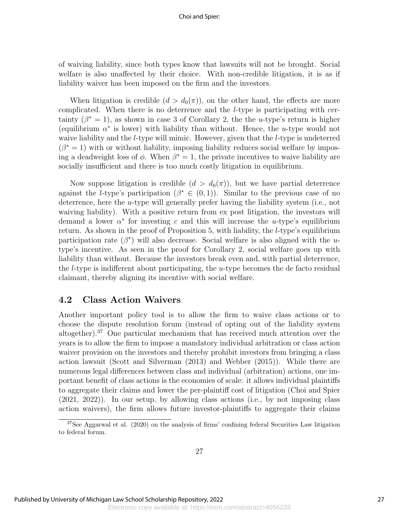#### Choi and Spier:

of waiving liability, since both types know that lawsuits will not be brought. Social welfare is also unaffected by their choice. With non-credible litigation, it is as if liability waiver has been imposed on the firm and the investors.

When litigation is credible  $(d > d_0(\pi))$ , on the other hand, the effects are more complicated. When there is no deterrence and the l-type is participating with certainty  $(\beta^* = 1)$ , as shown in case 3 of Corollary 2, the the *u*-type's return is higher (equilibrium  $\alpha^*$  is lower) with liability than without. Hence, the u-type would not waive liability and the *l*-type will mimic. However, given that the *l*-type is undeterred  $(\beta^* = 1)$  with or without liability, imposing liability reduces social welfare by imposing a deadweight loss of  $\phi$ . When  $\beta^* = 1$ , the private incentives to waive liability are socially insufficient and there is too much costly litigation in equilibrium.

Now suppose litigation is credible  $(d > d_0(\pi))$ , but we have partial deterrence against the *l*-type's participation  $(\beta^* \in (0,1))$ . Similar to the previous case of no deterrence, here the u-type will generally prefer having the liability system (i.e., not waiving liability). With a positive return from ex post litigation, the investors will demand a lower  $\alpha^*$  for investing c and this will increase the u-type's equilibrium return. As shown in the proof of Proposition 5, with liability, the *l*-type's equilibrium participation rate  $(\beta^*)$  will also decrease. Social welfare is also aligned with the utype's incentive. As seen in the proof for Corollary 2, social welfare goes up with liability than without. Because the investors break even and, with partial deterrence, the l-type is indifferent about participating, the u-type becomes the de facto residual claimant, thereby aligning its incentive with social welfare.

### 4.2 Class Action Waivers

Another important policy tool is to allow the firm to waive class actions or to choose the dispute resolution forum (instead of opting out of the liability system altogether).<sup>37</sup> One particular mechanism that has received much attention over the years is to allow the firm to impose a mandatory individual arbitration or class action waiver provision on the investors and thereby prohibit investors from bringing a class action lawsuit (Scott and Silverman (2013) and Webber (2015)). While there are numerous legal differences between class and individual (arbitration) actions, one important benefit of class actions is the economies of scale: it allows individual plaintiffs to aggregate their claims and lower the per-plaintiff cost of litigation (Choi and Spier (2021, 2022)). In our setup, by allowing class actions (i.e., by not imposing class action waivers), the firm allows future investor-plaintiffs to aggregate their claims

<sup>37</sup>See Aggarwal et al. (2020) on the analysis of firms' confining federal Securities Law litigation to federal forum.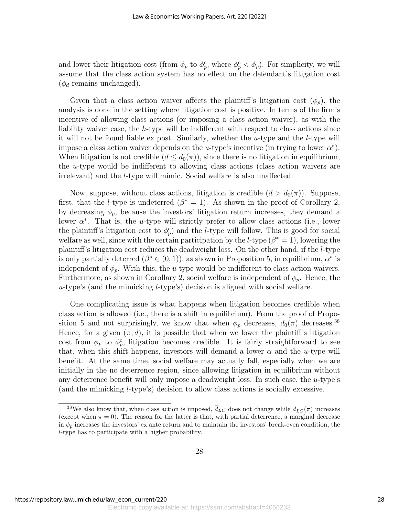and lower their litigation cost (from  $\phi_p$  to  $\phi_p^c$ , where  $\phi_p^c < \phi_p$ ). For simplicity, we will assume that the class action system has no effect on the defendant's litigation cost  $(\phi_d$  remains unchanged).

Given that a class action waiver affects the plaintiff's litigation cost  $(\phi_p)$ , the analysis is done in the setting where litigation cost is positive. In terms of the firm's incentive of allowing class actions (or imposing a class action waiver), as with the liability waiver case, the h-type will be indifferent with respect to class actions since it will not be found liable ex post. Similarly, whether the  $u$ -type and the  $l$ -type will impose a class action waiver depends on the u-type's incentive (in trying to lower  $\alpha^*$ ). When litigation is not credible  $(d \leq d_0(\pi))$ , since there is no litigation in equilibrium, the  $u$ -type would be indifferent to allowing class actions (class action waivers are irrelevant) and the l-type will mimic. Social welfare is also unaffected.

Now, suppose, without class actions, litigation is credible  $(d > d_0(\pi))$ . Suppose, first, that the *l*-type is undeterred  $(\beta^* = 1)$ . As shown in the proof of Corollary 2, by decreasing  $\phi_p$ , because the investors' litigation return increases, they demand a lower  $\alpha^*$ . That is, the *u*-type will strictly prefer to allow class actions (i.e., lower the plaintiff's litigation cost to  $\phi_p^c$ ) and the *l*-type will follow. This is good for social welfare as well, since with the certain participation by the *l*-type  $(\beta^* = 1)$ , lowering the plaintiff's litigation cost reduces the deadweight loss. On the other hand, if the l-type is only partially deterred  $(\beta^* \in (0,1))$ , as shown in Proposition 5, in equilibrium,  $\alpha^*$  is independent of  $\phi_p$ . With this, the *u*-type would be indifferent to class action waivers. Furthermore, as shown in Corollary 2, social welfare is independent of  $\phi_p$ . Hence, the u-type's (and the mimicking *l*-type's) decision is aligned with social welfare.

One complicating issue is what happens when litigation becomes credible when class action is allowed (i.e., there is a shift in equilibrium). From the proof of Proposition 5 and not surprisingly, we know that when  $\phi_p$  decreases,  $d_0(\pi)$  decreases.<sup>38</sup> Hence, for a given  $(\pi, d)$ , it is possible that when we lower the plaintiff's litigation cost from  $\phi_p$  to  $\phi_p^c$ , litigation becomes credible. It is fairly straightforward to see that, when this shift happens, investors will demand a lower  $\alpha$  and the u-type will benefit. At the same time, social welfare may actually fall, especially when we are initially in the no deterrence region, since allowing litigation in equilibrium without any deterrence benefit will only impose a deadweight loss. In such case, the  $u$ -type's (and the mimicking l-type's) decision to allow class actions is socially excessive.

<sup>&</sup>lt;sup>38</sup>We also know that, when class action is imposed,  $\overline{d}_{LC}$  does not change while  $\underline{d}_{LC}(\pi)$  increases (except when  $\pi = 0$ ). The reason for the latter is that, with partial deterrence, a marginal decrease in  $\phi_p$  increases the investors' ex ante return and to maintain the investors' break-even condition, the l-type has to participate with a higher probability.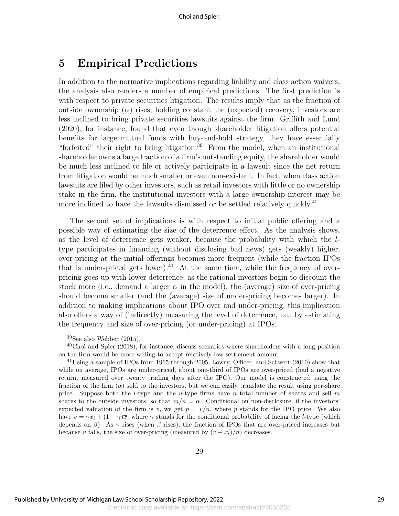# 5 Empirical Predictions

In addition to the normative implications regarding liability and class action waivers, the analysis also renders a number of empirical predictions. The first prediction is with respect to private securities litigation. The results imply that as the fraction of outside ownership  $(\alpha)$  rises, holding constant the (expected) recovery, investors are less inclined to bring private securities lawsuits against the firm. Griffith and Lund (2020), for instance, found that even though shareholder litigation offers potential benefits for large mutual funds with buy-and-hold strategy, they have essentially "forfeited" their right to bring litigation.<sup>39</sup> From the model, when an institutional shareholder owns a large fraction of a firm's outstanding equity, the shareholder would be much less inclined to file or actively participate in a lawsuit since the net return from litigation would be much smaller or even non-existent. In fact, when class action lawsuits are filed by other investors, such as retail investors with little or no ownership stake in the firm, the institutional investors with a large ownership interest may be more inclined to have the lawsuits dismissed or be settled relatively quickly.<sup>40</sup>

The second set of implications is with respect to initial public offering and a possible way of estimating the size of the deterrence effect. As the analysis shows, as the level of deterrence gets weaker, because the probability with which the ltype participates in financing (without disclosing bad news) gets (weakly) higher, over-pricing at the initial offerings becomes more frequent (while the fraction IPOs that is under-priced gets lower).<sup>41</sup> At the same time, while the frequency of overpricing goes up with lower deterrence, as the rational investors begin to discount the stock more (i.e., demand a larger  $\alpha$  in the model), the (average) size of over-pricing should become smaller (and the (average) size of under-pricing becomes larger). In addition to making implications about IPO over and under-pricing, this implication also offers a way of (indirectly) measuring the level of deterrence, i.e., by estimating the frequency and size of over-pricing (or under-pricing) at IPOs.

 $39$ See also Webber (2015).

 $^{40}$ Choi and Spier (2018), for instance, discuss scenarios where shareholders with a long position on the firm would be more willing to accept relatively low settlement amount.

<sup>41</sup>Using a sample of IPOs from 1965 through 2005, Lowry, Officer, and Schwert (2010) show that while on average, IPOs are under-priced, about one-third of IPOs are over-priced (had a negative return, measured over twenty trading days after the IPO). Our model is constructed using the fraction of the firm  $(\alpha)$  sold to the investors, but we can easily translate the result using per-share price. Suppose both the *l*-type and the *u*-type firms have *n* total number of shares and sell m shares to the outside investors, so that  $m/n = \alpha$ . Conditional on non-disclosure, if the investors' expected valuation of the firm is v, we get  $p = v/n$ , where p stands for the IPO price. We also have  $v = \gamma x_l + (1 - \gamma)\overline{x}$ , where  $\gamma$  stands for the conditional probability of facing the *l*-type (which depends on  $\beta$ ). As  $\gamma$  rises (when  $\beta$  rises), the fraction of IPOs that are over-priced increases but because v falls, the size of over-pricing (measured by  $(v - x_l)/n$ ) decreases.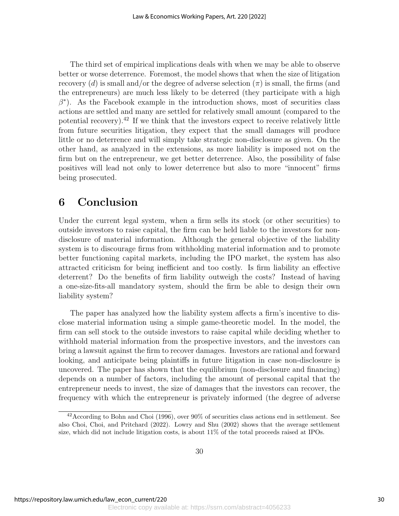The third set of empirical implications deals with when we may be able to observe better or worse deterrence. Foremost, the model shows that when the size of litigation recovery (d) is small and/or the degree of adverse selection  $(\pi)$  is small, the firms (and the entrepreneurs) are much less likely to be deterred (they participate with a high  $\beta^*$ ). As the Facebook example in the introduction shows, most of securities class actions are settled and many are settled for relatively small amount (compared to the potential recovery).<sup>42</sup> If we think that the investors expect to receive relatively little from future securities litigation, they expect that the small damages will produce little or no deterrence and will simply take strategic non-disclosure as given. On the other hand, as analyzed in the extensions, as more liability is imposed not on the firm but on the entrepreneur, we get better deterrence. Also, the possibility of false positives will lead not only to lower deterrence but also to more "innocent" firms being prosecuted.

### 6 Conclusion

Under the current legal system, when a firm sells its stock (or other securities) to outside investors to raise capital, the firm can be held liable to the investors for nondisclosure of material information. Although the general objective of the liability system is to discourage firms from withholding material information and to promote better functioning capital markets, including the IPO market, the system has also attracted criticism for being inefficient and too costly. Is firm liability an effective deterrent? Do the benefits of firm liability outweigh the costs? Instead of having a one-size-fits-all mandatory system, should the firm be able to design their own liability system?

The paper has analyzed how the liability system affects a firm's incentive to disclose material information using a simple game-theoretic model. In the model, the firm can sell stock to the outside investors to raise capital while deciding whether to withhold material information from the prospective investors, and the investors can bring a lawsuit against the firm to recover damages. Investors are rational and forward looking, and anticipate being plaintiffs in future litigation in case non-disclosure is uncovered. The paper has shown that the equilibrium (non-disclosure and financing) depends on a number of factors, including the amount of personal capital that the entrepreneur needs to invest, the size of damages that the investors can recover, the frequency with which the entrepreneur is privately informed (the degree of adverse

 $42$ According to Bohn and Choi (1996), over 90% of securities class actions end in settlement. See also Choi, Choi, and Pritchard (2022). Lowry and Shu (2002) shows that the average settlement size, which did not include litigation costs, is about 11% of the total proceeds raised at IPOs.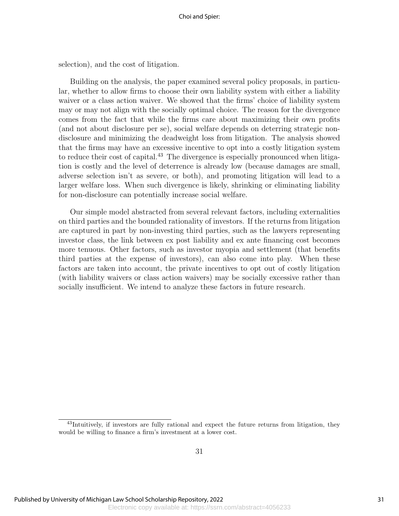selection), and the cost of litigation.

Building on the analysis, the paper examined several policy proposals, in particular, whether to allow firms to choose their own liability system with either a liability waiver or a class action waiver. We showed that the firms' choice of liability system may or may not align with the socially optimal choice. The reason for the divergence comes from the fact that while the firms care about maximizing their own profits (and not about disclosure per se), social welfare depends on deterring strategic nondisclosure and minimizing the deadweight loss from litigation. The analysis showed that the firms may have an excessive incentive to opt into a costly litigation system to reduce their cost of capital.<sup>43</sup> The divergence is especially pronounced when litigation is costly and the level of deterrence is already low (because damages are small, adverse selection isn't as severe, or both), and promoting litigation will lead to a larger welfare loss. When such divergence is likely, shrinking or eliminating liability for non-disclosure can potentially increase social welfare.

Our simple model abstracted from several relevant factors, including externalities on third parties and the bounded rationality of investors. If the returns from litigation are captured in part by non-investing third parties, such as the lawyers representing investor class, the link between ex post liability and ex ante financing cost becomes more tenuous. Other factors, such as investor myopia and settlement (that benefits third parties at the expense of investors), can also come into play. When these factors are taken into account, the private incentives to opt out of costly litigation (with liability waivers or class action waivers) may be socially excessive rather than socially insufficient. We intend to analyze these factors in future research.

<sup>43</sup>Intuitively, if investors are fully rational and expect the future returns from litigation, they would be willing to finance a firm's investment at a lower cost.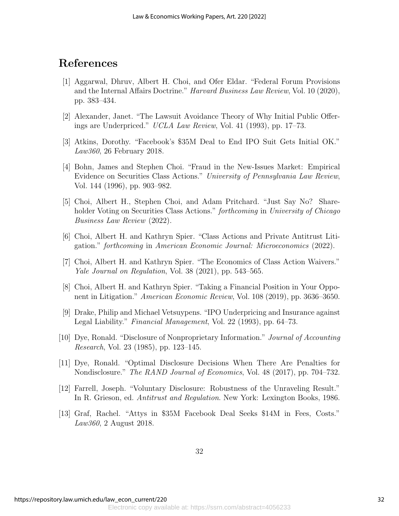# References

- [1] Aggarwal, Dhruv, Albert H. Choi, and Ofer Eldar. "Federal Forum Provisions and the Internal Affairs Doctrine." Harvard Business Law Review, Vol. 10 (2020), pp. 383–434.
- [2] Alexander, Janet. "The Lawsuit Avoidance Theory of Why Initial Public Offerings are Underpriced." UCLA Law Review, Vol. 41 (1993), pp. 17–73.
- [3] Atkins, Dorothy. "Facebook's \$35M Deal to End IPO Suit Gets Initial OK." Law360, 26 February 2018.
- [4] Bohn, James and Stephen Choi. "Fraud in the New-Issues Market: Empirical Evidence on Securities Class Actions." University of Pennsylvania Law Review, Vol. 144 (1996), pp. 903–982.
- [5] Choi, Albert H., Stephen Choi, and Adam Pritchard. "Just Say No? Shareholder Voting on Securities Class Actions." *forthcoming* in University of Chicago Business Law Review (2022).
- [6] Choi, Albert H. and Kathryn Spier. "Class Actions and Private Antitrust Litigation." forthcoming in American Economic Journal: Microeconomics (2022).
- [7] Choi, Albert H. and Kathryn Spier. "The Economics of Class Action Waivers." Yale Journal on Regulation, Vol. 38 (2021), pp. 543–565.
- [8] Choi, Albert H. and Kathryn Spier. "Taking a Financial Position in Your Opponent in Litigation." American Economic Review, Vol. 108 (2019), pp. 3636–3650.
- [9] Drake, Philip and Michael Vetsuypens. "IPO Underpricing and Insurance against Legal Liability." Financial Management, Vol. 22 (1993), pp. 64–73.
- [10] Dye, Ronald. "Disclosure of Nonproprietary Information." Journal of Accounting Research, Vol. 23 (1985), pp. 123–145.
- [11] Dye, Ronald. "Optimal Disclosure Decisions When There Are Penalties for Nondisclosure." The RAND Journal of Economics, Vol. 48 (2017), pp. 704–732.
- [12] Farrell, Joseph. "Voluntary Disclosure: Robustness of the Unraveling Result." In R. Grieson, ed. Antitrust and Regulation. New York: Lexington Books, 1986.
- [13] Graf, Rachel. "Attys in \$35M Facebook Deal Seeks \$14M in Fees, Costs." Law360, 2 August 2018.

32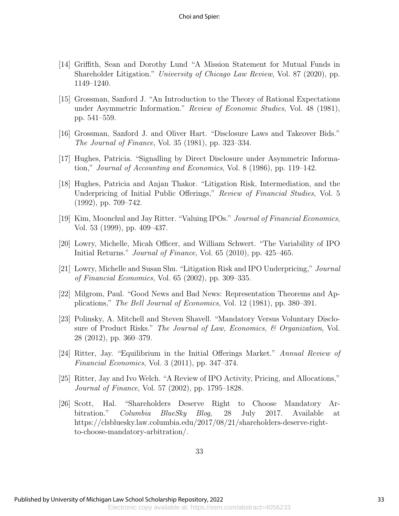- [14] Griffith, Sean and Dorothy Lund "A Mission Statement for Mutual Funds in Shareholder Litigation." University of Chicago Law Review, Vol. 87 (2020), pp. 1149–1240.
- [15] Grossman, Sanford J. "An Introduction to the Theory of Rational Expectations under Asymmetric Information." *Review of Economic Studies*, Vol. 48 (1981), pp. 541–559.
- [16] Grossman, Sanford J. and Oliver Hart. "Disclosure Laws and Takeover Bids." The Journal of Finance, Vol. 35 (1981), pp. 323–334.
- [17] Hughes, Patricia. "Signalling by Direct Disclosure under Asymmetric Information," Journal of Accounting and Economics, Vol. 8 (1986), pp. 119–142.
- [18] Hughes, Patricia and Anjan Thakor. "Litigation Risk, Intermediation, and the Underpricing of Initial Public Offerings," Review of Financial Studies, Vol. 5 (1992), pp. 709–742.
- [19] Kim, Moonchul and Jay Ritter. "Valuing IPOs." Journal of Financial Economics, Vol. 53 (1999), pp. 409–437.
- [20] Lowry, Michelle, Micah Officer, and William Schwert. "The Variability of IPO Initial Returns." *Journal of Finance*, Vol. 65 (2010), pp. 425–465.
- [21] Lowry, Michelle and Susan Shu. "Litigation Risk and IPO Underpricing," Journal of Financial Economics, Vol. 65 (2002), pp. 309–335.
- [22] Milgrom, Paul. "Good News and Bad News: Representation Theorems and Applications," The Bell Journal of Economics, Vol. 12 (1981), pp. 380–391.
- [23] Polinsky, A. Mitchell and Steven Shavell. "Mandatory Versus Voluntary Disclosure of Product Risks." The Journal of Law, Economics, & Organization, Vol. 28 (2012), pp. 360–379.
- [24] Ritter, Jay. "Equilibrium in the Initial Offerings Market." Annual Review of Financial Economics, Vol. 3 (2011), pp. 347–374.
- [25] Ritter, Jay and Ivo Welch. "A Review of IPO Activity, Pricing, and Allocations," Journal of Finance, Vol. 57 (2002), pp. 1795–1828.
- [26] Scott, Hal. "Shareholders Deserve Right to Choose Mandatory Arbitration." Columbia BlueSky Blog, 28 July 2017. Available at https://clsbluesky.law.columbia.edu/2017/08/21/shareholders-deserve-rightto-choose-mandatory-arbitration/.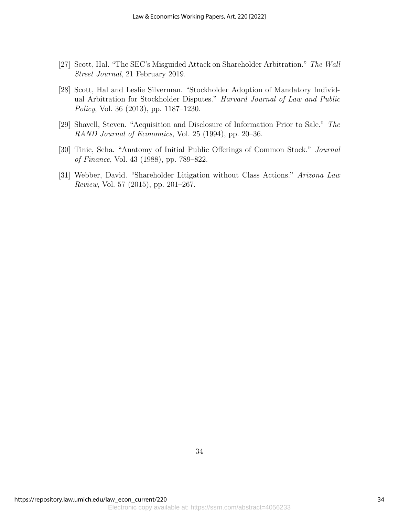- [27] Scott, Hal. "The SEC's Misguided Attack on Shareholder Arbitration." The Wall Street Journal, 21 February 2019.
- [28] Scott, Hal and Leslie Silverman. "Stockholder Adoption of Mandatory Individual Arbitration for Stockholder Disputes." Harvard Journal of Law and Public Policy, Vol. 36 (2013), pp. 1187–1230.
- [29] Shavell, Steven. "Acquisition and Disclosure of Information Prior to Sale." The RAND Journal of Economics, Vol. 25 (1994), pp. 20–36.
- [30] Tinic, Seha. "Anatomy of Initial Public Offerings of Common Stock." Journal of Finance, Vol. 43 (1988), pp. 789–822.
- [31] Webber, David. "Shareholder Litigation without Class Actions." Arizona Law Review, Vol. 57 (2015), pp. 201–267.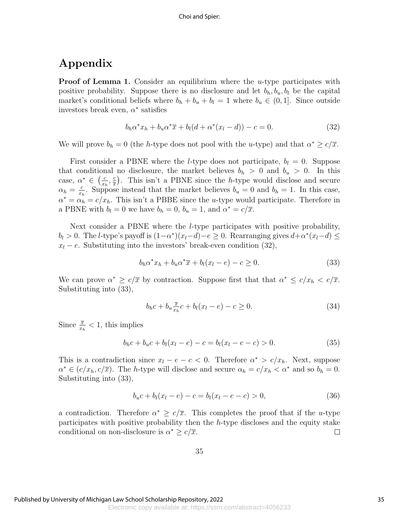# Appendix

**Proof of Lemma 1.** Consider an equilibrium where the *u*-type participates with positive probability. Suppose there is no disclosure and let  $b_h$ ,  $b_u$ ,  $b_l$  be the capital market's conditional beliefs where  $b_h + b_u + b_l = 1$  where  $b_u \in (0, 1]$ . Since outside investors break even,  $\alpha^*$  satisfies

$$
b_h \alpha^* x_h + b_u \alpha^* \overline{x} + b_l (d + \alpha^* (x_l - d)) - c = 0.
$$
 (32)

We will prove  $b_h = 0$  (the *h*-type does not pool with the *u*-type) and that  $\alpha^* \geq c/\overline{x}$ .

First consider a PBNE where the *l*-type does not participate,  $b_l = 0$ . Suppose that conditional no disclosure, the market believes  $b_h > 0$  and  $b_u > 0$ . In this case,  $\alpha^* \in \left(\frac{c}{r}\right)$  $\frac{c}{x_h}, \frac{c}{x}$  $\frac{c}{x}$ ). This isn't a PBNE since the *h*-type would disclose and secure  $\alpha_h = \frac{c}{x}$  $\frac{c}{x_h}$ . Suppose instead that the market believes  $b_u = 0$  and  $b_h = 1$ . In this case,  $\alpha^* = \alpha_h = c/x_h$ . This isn't a PBBE since the *u*-type would participate. Therefore in a PBNE with  $b_l = 0$  we have  $b_h = 0$ ,  $b_u = 1$ , and  $\alpha^* = c/\overline{x}$ .

Next consider a PBNE where the *l*-type participates with positive probability,  $b_l > 0$ . The *l*-type's payoff is  $(1-\alpha^*)(x_l-d)-e \geq 0$ . Rearranging gives  $d+\alpha^*(x_l-d) \leq$  $x_l - e$ . Substituting into the investors' break-even condition (32),

$$
b_h \alpha^* x_h + b_u \alpha^* \overline{x} + b_l (x_l - e) - c \ge 0. \tag{33}
$$

We can prove  $\alpha^* \geq c/\overline{x}$  by contraction. Suppose first that that  $\alpha^* \leq c/x_h < c/\overline{x}$ . Substituting into (33),

$$
b_h c + b_u \frac{\overline{x}}{x_h} c + b_l (x_l - e) - c \ge 0.
$$
\n
$$
(34)
$$

Since  $\frac{\overline{x}}{x_h} < 1$ , this implies

$$
b_h c + b_u c + b_l (x_l - e) - c = b_l (x_l - e - c) > 0.
$$
\n(35)

This is a contradiction since  $x_l - e - c < 0$ . Therefore  $\alpha^* > c/x_h$ . Next, suppose  $\alpha^* \in (c/x_h, c/\overline{x})$ . The *h*-type will disclose and secure  $\alpha_h = c/x_h < \alpha^*$  and so  $b_h = 0$ . Substituting into (33),

$$
b_u c + b_l (x_l - e) - c = b_l (x_l - e - c) > 0,
$$
\n(36)

a contradiction. Therefore  $\alpha^* \geq c/\overline{x}$ . This completes the proof that if the u-type participates with positive probability then the h-type discloses and the equity stake conditional on non-disclosure is  $\alpha^* \geq c/\overline{x}$ .  $\Box$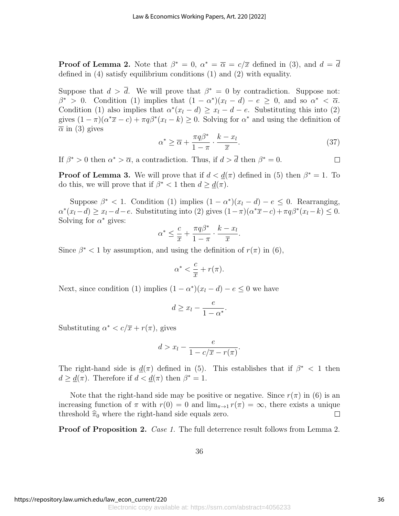**Proof of Lemma 2.** Note that  $\beta^* = 0$ ,  $\alpha^* = \overline{\alpha} = c/\overline{x}$  defined in (3), and  $d = \overline{d}$ defined in (4) satisfy equilibrium conditions (1) and (2) with equality.

Suppose that  $d > \overline{d}$ . We will prove that  $\beta^* = 0$  by contradiction. Suppose not:  $\beta^* > 0$ . Condition (1) implies that  $(1 - \alpha^*)(x_l - d) - e \geq 0$ , and so  $\alpha^* < \overline{\alpha}$ . Condition (1) also implies that  $\alpha^*(x_l - d) \ge x_l - d - e$ . Substituting this into (2) gives  $(1 - \pi)(\alpha^* \overline{x} - c) + \pi q \beta^* (x_l - k) \geq 0$ . Solving for  $\alpha^*$  and using the definition of  $\bar{\alpha}$  in (3) gives

$$
\alpha^* \ge \overline{\alpha} + \frac{\pi q \beta^*}{1 - \pi} \cdot \frac{k - x_l}{\overline{x}}.\tag{37}
$$

If  $\beta^* > 0$  then  $\alpha^* > \overline{\alpha}$ , a contradiction. Thus, if  $d > \overline{d}$  then  $\beta^* = 0$ .  $\Box$ 

**Proof of Lemma 3.** We will prove that if  $d < \underline{d}(\pi)$  defined in (5) then  $\beta^* = 1$ . To do this, we will prove that if  $\beta^* < 1$  then  $d \geq \underline{d}(\pi)$ .

Suppose  $\beta^* < 1$ . Condition (1) implies  $(1 - \alpha^*)(x_l - d) - e \leq 0$ . Rearranging,  $\alpha^*(x_l - d) \ge x_l - d - e$ . Substituting into (2) gives  $(1 - \pi)(\alpha^* \overline{x} - c) + \pi q \beta^*(x_l - k) \le 0$ . Solving for  $\alpha^*$  gives:

$$
\alpha^* \leq \frac{c}{\overline{x}} + \frac{\pi q \beta^*}{1 - \pi} \cdot \frac{k - x_l}{\overline{x}}.
$$

Since  $\beta^*$  < 1 by assumption, and using the definition of  $r(\pi)$  in (6),

$$
\alpha^* < \frac{c}{\overline{x}} + r(\pi).
$$

Next, since condition (1) implies  $(1 - \alpha^*)(x_l - d) - e \leq 0$  we have

$$
d \ge x_l - \frac{e}{1 - \alpha^*}.
$$

Substituting  $\alpha^* < c/\overline{x} + r(\pi)$ , gives

$$
d > x_l - \frac{e}{1 - c/\overline{x} - r(\pi)}.
$$

The right-hand side is  $\underline{d}(\pi)$  defined in (5). This establishes that if  $\beta^*$  < 1 then  $d \geq \underline{d}(\pi)$ . Therefore if  $d < \underline{d}(\pi)$  then  $\beta^* = 1$ .

Note that the right-hand side may be positive or negative. Since  $r(\pi)$  in (6) is an increasing function of  $\pi$  with  $r(0) = 0$  and  $\lim_{\pi \to 1} r(\pi) = \infty$ , there exists a unique threshold  $\hat{\pi}_0$  where the right-hand side equals zero.  $\Box$ 

**Proof of Proposition 2.** Case 1. The full deterrence result follows from Lemma 2.

36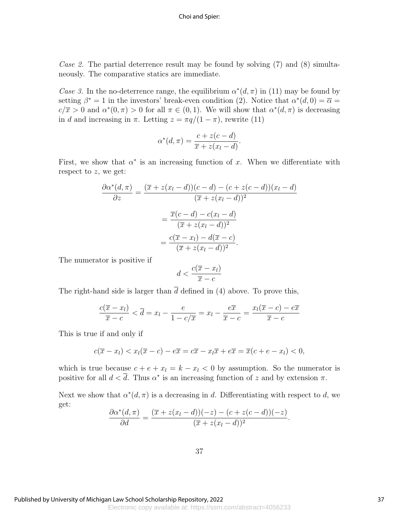Choi and Spier:

Case 2. The partial deterrence result may be found by solving  $(7)$  and  $(8)$  simultaneously. The comparative statics are immediate.

Case 3. In the no-deterrence range, the equilibrium  $\alpha^*(d, \pi)$  in (11) may be found by setting  $\beta^* = 1$  in the investors' break-even condition (2). Notice that  $\alpha^*(d, 0) = \overline{\alpha} =$  $c/\overline{x} > 0$  and  $\alpha^*(0, \pi) > 0$  for all  $\pi \in (0, 1)$ . We will show that  $\alpha^*(d, \pi)$  is decreasing in d and increasing in  $\pi$ . Letting  $z = \pi q/(1 - \pi)$ , rewrite (11)

$$
\alpha^*(d,\pi) = \frac{c + z(c - d)}{\overline{x} + z(x_l - d)}.
$$

First, we show that  $\alpha^*$  is an increasing function of x. When we differentiate with respect to  $z$ , we get:

$$
\frac{\partial \alpha^*(d,\pi)}{\partial z} = \frac{(\overline{x} + z(x_l - d))(c - d) - (c + z(c - d))(x_l - d)}{(\overline{x} + z(x_l - d))^2}
$$

$$
= \frac{\overline{x}(c - d) - c(x_l - d)}{(\overline{x} + z(x_l - d))^2}
$$

$$
= \frac{c(\overline{x} - x_l) - d(\overline{x} - c)}{(\overline{x} + z(x_l - d))^2}.
$$

The numerator is positive if

$$
d < \frac{c(\overline{x} - x_l)}{\overline{x} - c}
$$

The right-hand side is larger than  $\bar{d}$  defined in (4) above. To prove this,

$$
\frac{c(\overline{x} - x_l)}{\overline{x} - c} < \overline{d} = x_l - \frac{e}{1 - c/\overline{x}} = x_l - \frac{e\overline{x}}{\overline{x} - c} = \frac{x_l(\overline{x} - c) - e\overline{x}}{\overline{x} - c}
$$

This is true if and only if

$$
c(\overline{x}-x_l) < x_l(\overline{x}-c) - e\overline{x} = c\overline{x} - x_l\overline{x} + e\overline{x} = \overline{x}(c+e-x_l) < 0,
$$

which is true because  $c + e + x_l = k - x_l < 0$  by assumption. So the numerator is positive for all  $d < \overline{d}$ . Thus  $\alpha^*$  is an increasing function of z and by extension  $\pi$ .

Next we show that  $\alpha^*(d, \pi)$  is a decreasing in d. Differentiating with respect to d, we get:

$$
\frac{\partial \alpha^*(d,\pi)}{\partial d} = \frac{(\overline{x} + z(x_l - d))(-z) - (c + z(c - d))(-z)}{(\overline{x} + z(x_l - d))^2}.
$$

37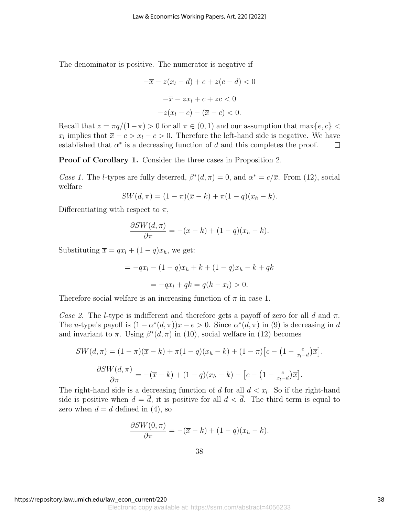The denominator is positive. The numerator is negative if

$$
-\overline{x} - z(x_l - d) + c + z(c - d) < 0
$$
\n
$$
-\overline{x} - zx_l + c + zc < 0
$$
\n
$$
-z(x_l - c) - (\overline{x} - c) < 0.
$$

Recall that  $z = \pi q/(1-\pi) > 0$  for all  $\pi \in (0,1)$  and our assumption that  $\max\{e, c\} <$  $x_l$  implies that  $\bar{x} - c > x_l - c > 0$ . Therefore the left-hand side is negative. We have established that  $\alpha^*$  is a decreasing function of d and this completes the proof.  $\Box$ 

Proof of Corollary 1. Consider the three cases in Proposition 2.

Case 1. The *l*-types are fully deterred,  $\beta^*(d, \pi) = 0$ , and  $\alpha^* = c/\overline{x}$ . From (12), social welfare

$$
SW(d, \pi) = (1 - \pi)(\overline{x} - k) + \pi(1 - q)(x_h - k).
$$

Differentiating with respect to  $\pi$ ,

$$
\frac{\partial SW(d,\pi)}{\partial \pi} = -(\overline{x} - k) + (1 - q)(x_h - k).
$$

Substituting  $\bar{x} = qx_l + (1 - q)x_h$ , we get:

$$
= -qx_l - (1-q)x_h + k + (1-q)x_h - k + qk
$$

$$
= -qx_l + qk = q(k - x_l) > 0.
$$

Therefore social welfare is an increasing function of  $\pi$  in case 1.

Case 2. The l-type is indifferent and therefore gets a payoff of zero for all d and  $\pi$ . The u-type's payoff is  $(1 - \alpha^*(d, \pi))\overline{x} - e > 0$ . Since  $\alpha^*(d, \pi)$  in (9) is decreasing in d and invariant to  $\pi$ . Using  $\beta^*(d, \pi)$  in (10), social welfare in (12) becomes

$$
SW(d, \pi) = (1 - \pi)(\overline{x} - k) + \pi(1 - q)(x_h - k) + (1 - \pi)[c - (1 - \frac{e}{x_l - d})\overline{x}].
$$

$$
\frac{\partial SW(d, \pi)}{\partial \pi} = -(\overline{x} - k) + (1 - q)(x_h - k) - [c - (1 - \frac{e}{x_l - d})\overline{x}].
$$

The right-hand side is a decreasing function of d for all  $d < x_l$ . So if the right-hand side is positive when  $d = \overline{d}$ , it is positive for all  $d < \overline{d}$ . The third term is equal to zero when  $d = \overline{d}$  defined in (4), so

$$
\frac{\partial SW(0,\pi)}{\partial \pi} = -(\overline{x} - k) + (1-q)(x_h - k).
$$

https://repository.law.umich.edu/law\_econ\_current/220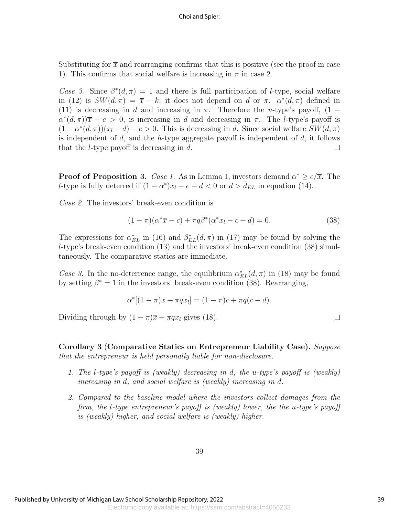Substituting for  $\bar{x}$  and rearranging confirms that this is positive (see the proof in case 1). This confirms that social welfare is increasing in  $\pi$  in case 2.

Case 3. Since  $\beta^*(d, \pi) = 1$  and there is full participation of *l*-type, social welfare in (12) is  $SW(d, \pi) = \overline{x} - k$ ; it does not depend on d or  $\pi$ .  $\alpha^*(d, \pi)$  defined in (11) is decreasing in d and increasing in  $\pi$ . Therefore the u-type's payoff, (1 –  $\alpha^*(d,\pi)\overline{x} - e > 0$ , is increasing in d and decreasing in  $\pi$ . The l-type's payoff is  $(1 - \alpha^*(d, \pi))(x_l - d) - e > 0$ . This is decreasing in d. Since social welfare  $SW(d, \pi)$ is independent of  $d$ , and the h-type aggregate payoff is independent of  $d$ , it follows that the *l*-type payoff is decreasing in  $d$ .  $\Box$ 

**Proof of Proposition 3.** Case 1. As in Lemma 1, investors demand  $\alpha^* \geq c/\overline{x}$ . The l-type is fully deterred if  $(1 - \alpha^*)x_l - e - d < 0$  or  $d > \overline{d}_{EL}$  in equation (14).

Case 2. The investors' break-even condition is

$$
(1 - \pi)(\alpha^* \overline{x} - c) + \pi q \beta^* (\alpha^* x_l - c + d) = 0.
$$
 (38)

The expressions for  $\alpha_{EL}^{*}$  in (16) and  $\beta_{EL}^{*}(d,\pi)$  in (17) may be found by solving the l-type's break-even condition (13) and the investors' break-even condition (38) simultaneously. The comparative statics are immediate.

Case 3. In the no-deterrence range, the equilibrium  $\alpha_{EL}^{*}(d, \pi)$  in (18) may be found by setting  $\beta^* = 1$  in the investors' break-even condition (38). Rearranging,

$$
\alpha^*[(1-\pi)\overline{x}+\pi qx_l]=(1-\pi)c+\pi q(c-d).
$$

Dividing through by  $(1 - \pi)\overline{x} + \pi q x_l$  gives (18).

Corollary 3 (Comparative Statics on Entrepreneur Liability Case). Suppose that the entrepreneur is held personally liable for non-disclosure.

- 1. The l-type's payoff is (weakly) decreasing in d, the u-type's payoff is (weakly) increasing in d, and social welfare is (weakly) increasing in d.
- 2. Compared to the baseline model where the investors collect damages from the firm, the l-type entrepreneur's payoff is (weakly) lower, the the u-type's payoff is (weakly) higher, and social welfare is (weakly) higher.

 $\Box$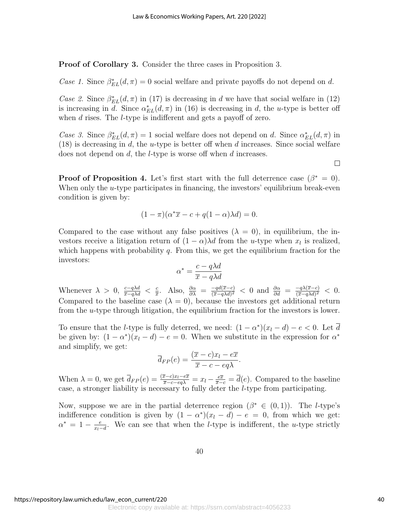Proof of Corollary 3. Consider the three cases in Proposition 3.

Case 1. Since  $\beta_{EL}^*(d, \pi) = 0$  social welfare and private payoffs do not depend on d.

Case 2. Since  $\beta_{EL}^*(d, \pi)$  in (17) is decreasing in d we have that social welfare in (12) is increasing in d. Since  $\alpha_{EL}^{*}(d, \pi)$  in (16) is decreasing in d, the u-type is better off when d rises. The *l*-type is indifferent and gets a payoff of zero.

Case 3. Since  $\beta_{EL}^*(d, \pi) = 1$  social welfare does not depend on d. Since  $\alpha_{EL}^*(d, \pi)$  in  $(18)$  is decreasing in d, the u-type is better off when d increases. Since social welfare does not depend on d, the l-type is worse off when d increases.

 $\Box$ 

**Proof of Proposition 4.** Let's first start with the full deterrence case  $(\beta^* = 0)$ . When only the  $u$ -type participates in financing, the investors' equilibrium break-even condition is given by:

$$
(1 - \pi)(\alpha^* \overline{x} - c + q(1 - \alpha)\lambda d) = 0.
$$

Compared to the case without any false positives  $(\lambda = 0)$ , in equilibrium, the investors receive a litigation return of  $(1 - \alpha)\lambda d$  from the u-type when  $x_l$  is realized, which happens with probability  $q$ . From this, we get the equilibrium fraction for the investors:

$$
\alpha^* = \frac{c - q\lambda d}{\overline{x} - q\lambda d}
$$

Whenever  $\lambda > 0$ ,  $\frac{c-q\lambda d}{\overline{x}-q\lambda d} < \frac{c}{\overline{x}}$  $\frac{c}{x}$ . Also,  $\frac{\partial \alpha}{\partial \lambda} = \frac{-qd(\overline{x}-c)}{(\overline{x}-q\lambda d)^2}$  $\frac{-qd(\overline{x}-c)}{(\overline{x}-q\lambda d)^2}$  < 0 and  $\frac{\partial \alpha}{\partial d} = \frac{-q\lambda(\overline{x}-c)}{(\overline{x}-q\lambda d)^2}$  $\frac{-q\lambda(x-c)}{(\overline{x}-q\lambda d)^2}$  < 0. Compared to the baseline case  $(\lambda = 0)$ , because the investors get additional return from the u-type through litigation, the equilibrium fraction for the investors is lower.

To ensure that the *l*-type is fully deterred, we need:  $(1 - \alpha^*)(x_l - d) - e < 0$ . Let  $\overline{d}$ be given by:  $(1 - \alpha^*)(x_l - d) - e = 0$ . When we substitute in the expression for  $\alpha^*$ and simplify, we get:

$$
\overline{d}_{FP}(e) = \frac{(\overline{x} - c)x_l - e\overline{x}}{\overline{x} - c - eq\lambda}.
$$

When  $\lambda = 0$ , we get  $\overline{d}_{FP}(e) = \frac{(\overline{x}-c)x_l-e\overline{x}}{\overline{x}-c-q\lambda} = x_l - \frac{e\overline{x}}{\overline{x}-c} = \overline{d}(e)$ . Compared to the baseline case, a stronger liability is necessary to fully deter the l-type from participating.

Now, suppose we are in the partial deterrence region  $(\beta^* \in (0,1))$ . The *l*-type's indifference condition is given by  $(1 - \alpha^*)(x_l - d) - e = 0$ , from which we get:  $\alpha^* = 1 - \frac{e}{r}$  $\frac{e}{x_l-d}$ . We can see that when the *l*-type is indifferent, the *u*-type strictly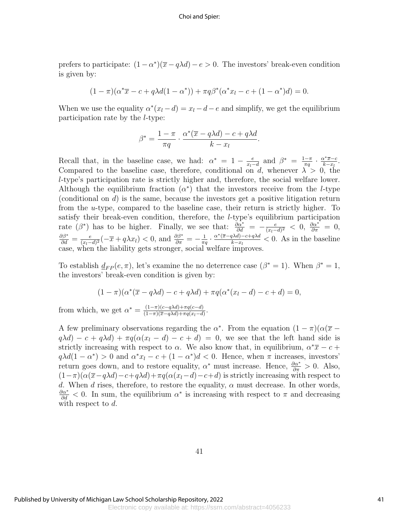prefers to participate:  $(1 - \alpha^*)(\overline{x} - q\lambda d) - e > 0$ . The investors' break-even condition is given by:

$$
(1 - \pi)(\alpha^* \overline{x} - c + q\lambda d(1 - \alpha^*)) + \pi q\beta^* (\alpha^* x_l - c + (1 - \alpha^*)d) = 0.
$$

When we use the equality  $\alpha^*(x_l - d) = x_l - d - e$  and simplify, we get the equilibrium participation rate by the l-type:

$$
\beta^* = \frac{1-\pi}{\pi q} \cdot \frac{\alpha^*(\overline{x} - q\lambda d) - c + q\lambda d}{k - x_l}.
$$

Recall that, in the baseline case, we had:  $\alpha^* = 1 - \frac{e}{r-1}$  $\frac{e}{x_l-d}$  and  $\beta^* = \frac{1-\pi}{\pi q}$  $\frac{1-\pi}{\pi q} \cdot \frac{\alpha^* \overline{x}-c}{k-x_l}$  $\frac{\alpha^*\overline{x}-c}{k-x_l}.$ Compared to the baseline case, therefore, conditional on d, whenever  $\lambda > 0$ , the l-type's participation rate is strictly higher and, therefore, the social welfare lower. Although the equilibrium fraction  $(\alpha^*)$  that the investors receive from the *l*-type (conditional on  $d$ ) is the same, because the investors get a positive litigation return from the u-type, compared to the baseline case, their return is strictly higher. To satisfy their break-even condition, therefore, the l-type's equilibrium participation rate  $(\beta^*)$  has to be higher. Finally, we see that:  $\frac{\partial \alpha^*}{\partial d} = -\frac{e}{(x_l - 1)^2}$  $\frac{e}{(x_l-d)^2}$  < 0,  $\frac{\partial \alpha^*}{\partial \pi}$  = 0,  $rac{\partial \beta^*}{\partial d} = \frac{e}{(x_l - )}$  $\frac{e}{(x_l-d)^2}(-\overline{x}+q\lambda x_l) < 0$ , and  $\frac{\partial \beta^*}{\partial \pi} = -\frac{1}{\pi d}$  $\frac{1}{\pi q} \cdot \frac{\alpha^*(\overline{x}-q\lambda d)-c+q\lambda d}{k-x_l}$  $\frac{d^{2}A^{2}}{k-x_{l}}$  < 0. As in the baseline case, when the liability gets stronger, social welfare improves.

To establish  $\underline{d}_{FP}(e, \pi)$ , let's examine the no deterrence case  $(\beta^* = 1)$ . When  $\beta^* = 1$ , the investors' break-even condition is given by:

$$
(1 - \pi)(\alpha^*(\overline{x} - q\lambda d) - c + q\lambda d) + \pi q(\alpha^*(x_l - d) - c + d) = 0,
$$

from which, we get  $\alpha^* = \frac{(1-\pi)(c-q\lambda d)+\pi q(c-d)}{(1-\pi)(\overline{c}-q\lambda d)+\pi q(r-d)}$  $\frac{(1-\pi)(c-q\lambda d)+\pi q(c-a)}{(1-\pi)(\overline{x}-q\lambda d)+\pi q(x_l-d)}.$ 

A few preliminary observations regarding the  $\alpha^*$ . From the equation  $(1 - \pi)(\alpha(\bar{x}$  $q\lambda d$ ) –  $c + q\lambda d$ ) +  $\pi q(\alpha(x_l - d) - c + d) = 0$ , we see that the left hand side is strictly increasing with respect to  $\alpha$ . We also know that, in equilibrium,  $\alpha^* \overline{x} - c +$  $q\lambda d(1-\alpha^*) > 0$  and  $\alpha^* x_l - c + (1-\alpha^*)d < 0$ . Hence, when  $\pi$  increases, investors' return goes down, and to restore equality,  $\alpha^*$  must increase. Hence,  $\frac{\partial \alpha^*}{\partial \pi} > 0$ . Also,  $(1-\pi)(\alpha(\bar{x}-q\lambda d)-c+q\lambda d)+\pi q(\alpha(x_l-d)-c+d)$  is strictly increasing with respect to d. When d rises, therefore, to restore the equality,  $\alpha$  must decrease. In other words,  $\frac{\partial \alpha^*}{\partial d}$  < 0. In sum, the equilibrium  $\alpha^*$  is increasing with respect to  $\pi$  and decreasing with respect to d.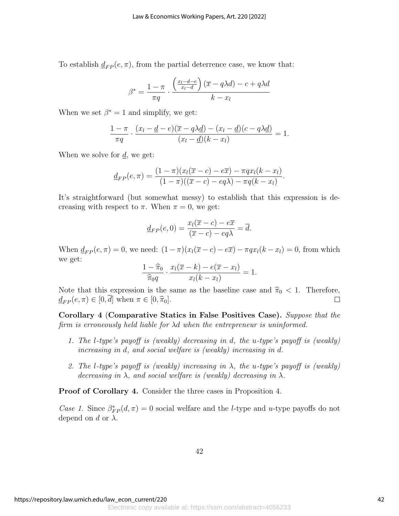To establish  $d_{FP}(e, \pi)$ , from the partial deterrence case, we know that:

$$
\beta^* = \frac{1 - \pi}{\pi q} \cdot \frac{\left(\frac{x_l - d - e}{x_l - d}\right)(\overline{x} - q\lambda d) - c + q\lambda d}{k - x_l}
$$

When we set  $\beta^* = 1$  and simplify, we get:

$$
\frac{1-\pi}{\pi q} \cdot \frac{(x_l - \underline{d} - e)(\overline{x} - q\lambda \underline{d}) - (x_l - \underline{d})(c - q\lambda \underline{d})}{(x_l - \underline{d})(k - x_l)} = 1.
$$

When we solve for  $d$ , we get:

$$
\underline{d}_{FP}(e,\pi)=\frac{(1-\pi)(x_l(\overline{x}-c)-e\overline{x})-\pi qx_l(k-x_l)}{(1-\pi)((\overline{x}-c)-eq\lambda)-\pi q(k-x_l)}.
$$

It's straightforward (but somewhat messy) to establish that this expression is decreasing with respect to  $\pi$ . When  $\pi = 0$ , we get:

$$
\underline{d}_{FP}(e,0) = \frac{x_l(\overline{x} - c) - e\overline{x}}{(\overline{x} - c) - eq\lambda} = \overline{d}.
$$

When  $d_{FP}(e, \pi) = 0$ , we need:  $(1 - \pi)(x_i(\overline{x} - c) - e\overline{x}) - \pi qx_i(k - x_i) = 0$ , from which we get:

$$
\frac{1-\widehat{\pi}_0}{\widehat{\pi}_0 q}\cdot\frac{x_l(\overline{x}-k)-e(\overline{x}-x_l)}{x_l(k-x_l)}=1.
$$

Note that this expression is the same as the baseline case and  $\hat{\pi}_0 < 1$ . Therefore,  $d_{FD}(e, \pi) \in [0, \overline{d}]$  when  $\pi \in [0, \hat{\pi}_0]$ .  $\underline{d}_{FP}(e, \pi) \in [0, \overline{d}]$  when  $\pi \in [0, \widehat{\pi}_0]$ .

Corollary 4 (Comparative Statics in False Positives Case). Suppose that the firm is erroneously held liable for λd when the entrepreneur is uninformed.

- 1. The l-type's payoff is (weakly) decreasing in d, the u-type's payoff is (weakly) increasing in d, and social welfare is (weakly) increasing in d.
- 2. The l-type's payoff is (weakly) increasing in  $\lambda$ , the u-type's payoff is (weakly) decreasing in  $\lambda$ , and social welfare is (weakly) decreasing in  $\lambda$ .

Proof of Corollary 4. Consider the three cases in Proposition 4.

Case 1. Since  $\beta_{FP}^*(d, \pi) = 0$  social welfare and the *l*-type and *u*-type payoffs do not depend on d or  $\lambda$ .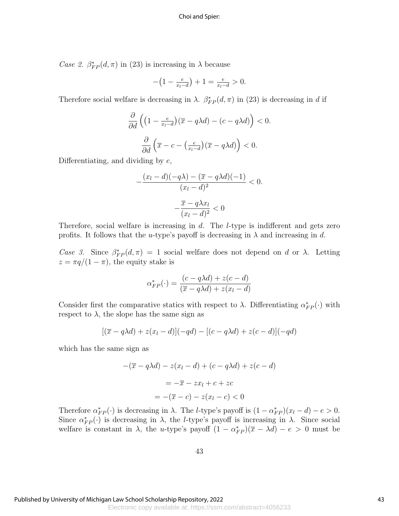*Case 2.*  $\beta_{FP}^*(d, \pi)$  in (23) is increasing in  $\lambda$  because

$$
-\left(1 - \frac{e}{x_l - d}\right) + 1 = \frac{e}{x_l - d} > 0.
$$

Therefore social welfare is decreasing in  $\lambda$ .  $\beta_{FP}^*(d, \pi)$  in (23) is decreasing in d if

$$
\frac{\partial}{\partial d}\left(\left(1 - \frac{e}{x_l - d}\right)(\overline{x} - q\lambda d) - (c - q\lambda d)\right) < 0.
$$
\n
$$
\frac{\partial}{\partial d}\left(\overline{x} - c - \left(\frac{e}{x_l - d}\right)(\overline{x} - q\lambda d)\right) < 0.
$$

Differentiating, and dividing by  $e$ ,

$$
-\frac{(x_l-d)(-q\lambda)-(\overline{x}-q\lambda d)(-1)}{(x_l-d)^2}<0.
$$

$$
-\frac{\overline{x}-q\lambda x_l}{(x_l-d)^2}<0
$$

Therefore, social welfare is increasing in  $d$ . The  $l$ -type is indifferent and gets zero profits. It follows that the u-type's payoff is decreasing in  $\lambda$  and increasing in d.

Case 3. Since  $\beta_{FP}^*(d,\pi) = 1$  social welfare does not depend on d or  $\lambda$ . Letting  $z = \pi q/(1 - \pi)$ , the equity stake is

$$
\alpha_{FP}^*(\cdot) = \frac{(c - q\lambda d) + z(c - d)}{(\overline{x} - q\lambda d) + z(x_l - d)}
$$

Consider first the comparative statics with respect to  $\lambda$ . Differentiating  $\alpha_{FP}^*(\cdot)$  with respect to  $\lambda$ , the slope has the same sign as

$$
[(\overline{x} - q\lambda d) + z(x_l - d)](-qd) - [(c - q\lambda d) + z(c - d)](-qd)
$$

which has the same sign as

$$
-(\overline{x} - q\lambda d) - z(x_l - d) + (c - q\lambda d) + z(c - d)
$$

$$
= -\overline{x} - zx_l + c + zc
$$

$$
= -(\overline{x} - c) - z(x_l - c) < 0
$$

Therefore  $\alpha^*_{FP}(\cdot)$  is decreasing in  $\lambda$ . The *l*-type's payoff is  $(1 - \alpha^*_{FP})(x_l - d) - e > 0$ . Since  $\alpha_{FP}^*(\cdot)$  is decreasing in  $\lambda$ , the *l*-type's payoff is increasing in  $\lambda$ . Since social welfare is constant in  $\lambda$ , the u-type's payoff  $(1 - \alpha_{FP}^*)(\bar{x} - \lambda d) - e > 0$  must be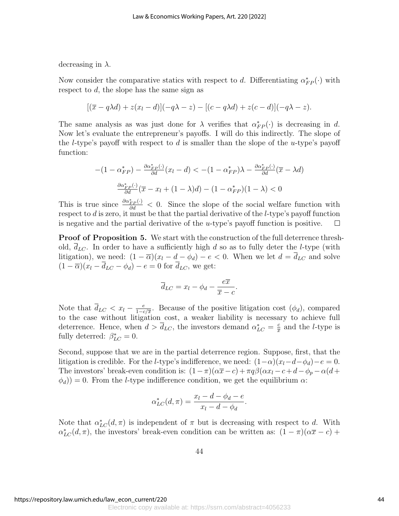decreasing in  $\lambda$ .

Now consider the comparative statics with respect to d. Differentiating  $\alpha_{FP}^*(\cdot)$  with respect to d, the slope has the same sign as

$$
[(\overline{x}-q\lambda d)+z(x_l-d)](-q\lambda-z)-[(c-q\lambda d)+z(c-d)](-q\lambda-z).
$$

The same analysis as was just done for  $\lambda$  verifies that  $\alpha^*_{FP}(\cdot)$  is decreasing in d. Now let's evaluate the entrepreneur's payoffs. I will do this indirectly. The slope of the *l*-type's payoff with respect to  $d$  is smaller than the slope of the *u*-type's payoff function:

$$
-(1 - \alpha_{FP}^*) - \frac{\partial \alpha_{FP}^*(\cdot)}{\partial d}(x_l - d) < -(1 - \alpha_{FP}^*)\lambda - \frac{\partial \alpha_{FP}^*(\cdot)}{\partial d}(\overline{x} - \lambda d)
$$
\n
$$
\frac{\partial \alpha_{FP}^*(\cdot)}{\partial d}(\overline{x} - x_l + (1 - \lambda)d) - (1 - \alpha_{FP}^*)(1 - \lambda) < 0
$$

This is true since  $\frac{\partial \alpha_{FP}^*(\cdot)}{\partial d} < 0$ . Since the slope of the social welfare function with respect to  $d$  is zero, it must be that the partial derivative of the  $l$ -type's payoff function is negative and the partial derivative of the u-type's payoff function is positive.  $\Box$ 

Proof of Proposition 5. We start with the construction of the full deterrence threshold,  $\overline{d}_{LC}$ . In order to have a sufficiently high d so as to fully deter the l-type (with litigation), we need:  $(1 - \overline{\alpha})(x_l - d - \phi_d) - e < 0$ . When we let  $d = \overline{d}_{LC}$  and solve  $(1 - \overline{\alpha})(x_l - \overline{d}_{LC} - \phi_d) - e = 0$  for  $\overline{d}_{LC}$ , we get:

$$
\overline{d}_{LC} = x_l - \phi_d - \frac{e\overline{x}}{\overline{x} - c}.
$$

Note that  $\overline{d}_{LC} < x_l - \frac{e}{1-e}$  $\frac{e}{1-c/\overline{x}}$ . Because of the positive litigation cost  $(\phi_d)$ , compared to the case without litigation cost, a weaker liability is necessary to achieve full deterrence. Hence, when  $d > \overline{d}_{LC}$ , the investors demand  $\alpha_{LC}^* = \frac{c}{\overline{x}}$  $\frac{c}{x}$  and the *l*-type is fully deterred:  $\beta_{LC}^* = 0$ .

Second, suppose that we are in the partial deterrence region. Suppose, first, that the litigation is credible. For the *l*-type's indifference, we need:  $(1-\alpha)(x_l-d-\phi_d)-e=0$ . The investors' break-even condition is:  $(1-\pi)(\alpha \bar{x}-c) + \pi q \beta(\alpha x_l - c + d - \phi_p - \alpha(d+\alpha \bar{x}))$  $(\phi_d)$ ) = 0. From the *l*-type indifference condition, we get the equilibrium  $\alpha$ :

$$
\alpha_{LC}^*(d,\pi) = \frac{x_l - d - \phi_d - e}{x_l - d - \phi_d}.
$$

Note that  $\alpha_{LC}^*(d, \pi)$  is independent of  $\pi$  but is decreasing with respect to d. With  $\alpha_{LC}^*(d, \pi)$ , the investors' break-even condition can be written as:  $(1 - \pi)(\alpha \bar{x} - c)$  +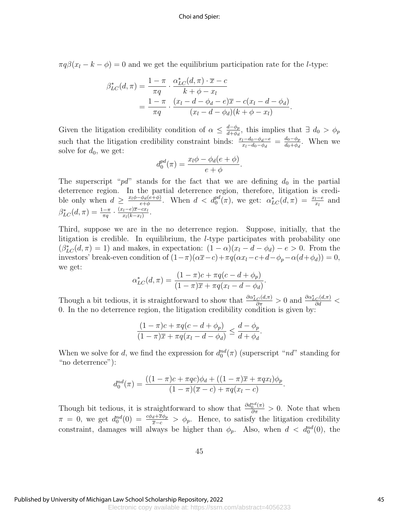$\pi q \beta(x_l - k - \phi) = 0$  and we get the equilibrium participation rate for the *l*-type:

$$
\beta_{LC}^*(d,\pi) = \frac{1-\pi}{\pi q} \cdot \frac{\alpha_{LC}^*(d,\pi) \cdot \overline{x} - c}{k + \phi - x_l}
$$
  
= 
$$
\frac{1-\pi}{\pi q} \cdot \frac{(x_l - d - \phi_d - e)\overline{x} - c(x_l - d - \phi_d)}{(x_l - d - \phi_d)(k + \phi - x_l)}.
$$

Given the litigation credibility condition of  $\alpha \leq \frac{d-\phi_p}{d+\phi_p}$  $\frac{d-\phi_p}{d+\phi_d}$ , this implies that  $\exists d_0 > \phi_p$ such that the litigation credibility constraint binds:  $\frac{x_l-d_0-\phi_d-e}{x_l-d_0-\phi_d} = \frac{d_0-\phi_p}{d_0+\phi_d}$  $\frac{a_0 - \varphi_p}{d_0 + \varphi_d}$ . When we solve for  $d_0$ , we get:

$$
d_0^{pd}(\pi) = \frac{x_l \phi - \phi_d(e + \phi)}{e + \phi}.
$$

The superscript " $pd$ " stands for the fact that we are defining  $d_0$  in the partial deterrence region. In the partial deterrence region, therefore, litigation is credible only when  $d \geq \frac{x_l \phi - \phi_d(e + \phi)}{e + \phi}$  $\frac{\phi_d(e+\phi)}{e+\phi}$ . When  $d < d_0^{pd}(\pi)$ , we get:  $\alpha_{LC}^*(d, \pi) = \frac{x_l - e}{x_l}$  and  $\beta^*_{LC}(d,\pi) = \frac{1-\pi}{\pi q} \cdot \frac{(x_l-e)\overline{x}-cx_l}{x_l(k-x_l)}$  $\frac{x_l-e)x-cx_l}{x_l(k-x_l)}$ .

Third, suppose we are in the no deterrence region. Suppose, initially, that the litigation is credible. In equilibrium, the l-type participates with probability one  $(\beta_{LC}^*(d, \pi) = 1)$  and makes, in expectation:  $(1 - \alpha)(x_l - d - \phi_d) - e > 0$ . From the investors' break-even condition of  $(1-\pi)(\alpha \bar{x}-c)+\pi q(\alpha x_l-c+d-\phi_p-\alpha(d+\phi_d))=0,$ we get:

$$
\alpha_{LC}^*(d,\pi) = \frac{(1-\pi)c + \pi q(c - d + \phi_p)}{(1-\pi)\overline{x} + \pi q(x_l - d - \phi_d)}.
$$

Though a bit tedious, it is straightforward to show that  $\frac{\partial \alpha_{LC}^*(d,\pi)}{\partial \pi} > 0$  and  $\frac{\partial \alpha_{LC}^*(d,\pi)}{\partial d} <$ 0. In the no deterrence region, the litigation credibility condition is given by:

$$
\frac{(1-\pi)c + \pi q(c-d+\phi_p)}{(1-\pi)\overline{x} + \pi q(x_l - d - \phi_d)} \le \frac{d-\phi_p}{d+\phi_d}
$$

.

When we solve for d, we find the expression for  $d_0^{nd}(\pi)$  (superscript "nd" standing for "no deterrence"):

$$
d_0^{nd}(\pi) = \frac{((1-\pi)c + \pi qc)\phi_d + ((1-\pi)\overline{x} + \pi qx_l)\phi_p}{(1-\pi)(\overline{x}-c) + \pi q(x_l - c)}.
$$

Though bit tedious, it is straightforward to show that  $\frac{\partial d_0^{nd}(\pi)}{\partial \pi} > 0$ . Note that when  $\pi = 0$ , we get  $d_0^{nd}(0) = \frac{c\phi_d + \bar{x}\phi_p}{\bar{x}-c} > \phi_p$ . Hence, to satisfy the litigation credibility constraint, damages will always be higher than  $\phi_p$ . Also, when  $d < d_0^{nd}(0)$ , the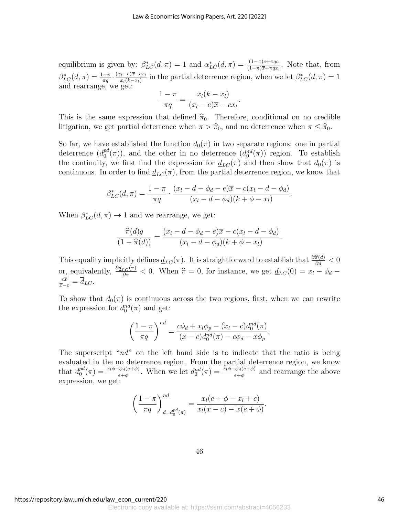equilibrium is given by:  $\beta_{LC}^*(d, \pi) = 1$  and  $\alpha_{LC}^*(d, \pi) = \frac{(1-\pi)c + \pi qc}{(1-\pi)\overline{x} + \pi qx}$ . Note that, from  $(1-\pi)\overline{x}+\pi qx_l$  $\beta^*_{LC}(d,\pi) = \frac{1-\pi}{\pi q} \cdot \frac{(x_l-e)\overline{x}-cx_l}{x_l(k-x_l)}$  $\frac{(x-e)\overline{x}-cx_l}{x_l(k-x_l)}$  in the partial deterrence region, when we let  $\beta_{LC}^*(d, \pi) = 1$ and rearrange, we get:

$$
\frac{1-\pi}{\pi q} = \frac{x_l(k-x_l)}{(x_l-e)\overline{x}-cx_l}.
$$

This is the same expression that defined  $\hat{\pi}_0$ . Therefore, conditional on no credible litigation, we get partial deterrence when  $\pi > \hat{\pi}_0$ , and no deterrence when  $\pi \leq \hat{\pi}_0$ .

So far, we have established the function  $d_0(\pi)$  in two separate regions: one in partial deterrence  $(d_0^{pd})$  $p_d^{nd}(\pi)$ , and the other in no deterrence  $(d_0^{nd}(\pi))$  region. To establish the continuity, we first find the expression for  $d_{LC}(\pi)$  and then show that  $d_0(\pi)$  is continuous. In order to find  $d_{LC}(\pi)$ , from the partial deterrence region, we know that

$$
\beta_{LC}^*(d, \pi) = \frac{1 - \pi}{\pi q} \cdot \frac{(x_l - d - \phi_d - e)\overline{x} - c(x_l - d - \phi_d)}{(x_l - d - \phi_d)(k + \phi - x_l)}.
$$

When  $\beta_{LC}^*(d, \pi) \rightarrow 1$  and we rearrange, we get:

$$
\frac{\widehat{\pi}(d)q}{(1-\widehat{\pi}(d))} = \frac{(x_l-d-\phi_d-e)\overline{x}-c(x_l-d-\phi_d)}{(x_l-d-\phi_d)(k+\phi-x_l)}.
$$

This equality implicitly defines  $\underline{d}_{LC}(\pi)$ . It is straightforward to establish that  $\frac{\partial \hat{\pi}(d)}{\partial d} < 0$ or, equivalently,  $\frac{\partial d_{LC}(\pi)}{\partial \pi} < 0$ . When  $\hat{\pi} = 0$ , for instance, we get  $d_{LC}(0) = x_l - \phi_d - \frac{e\bar{x}}{l}$  $\frac{e\overline{x}}{\overline{x}-c} = \overline{d}_{LC}.$ 

To show that  $d_0(\pi)$  is continuous across the two regions, first, when we can rewrite the expression for  $d_0^{nd}(\pi)$  and get:

$$
\left(\frac{1-\pi}{\pi q}\right)^{nd} = \frac{c\phi_d + x_l\phi_p - (x_l - c)d_0^{nd}(\pi)}{(\overline{x} - c)d_0^{nd}(\pi) - c\phi_d - \overline{x}\phi_p}.
$$

The superscript " $nd$ " on the left hand side is to indicate that the ratio is being evaluated in the no deterrence region. From the partial deterrence region, we know that  $d_0^{pd}$  $\frac{p d}{0}(\pi) = \frac{x_l \phi - \phi_d(e + \phi)}{e + \phi}$ . When we let  $d_0^{nd}(\pi) = \frac{x_l \phi - \phi_d(e + \phi)}{e + \phi}$  and rearrange the above expression, we get:

$$
\left(\frac{1-\pi}{\pi q}\right)_{d=d_0^{pd}(\pi)}^{nd} = \frac{x_l(e+\phi-x_l+c)}{x_l(\overline{x}-c)-\overline{x}(e+\phi)}.
$$

46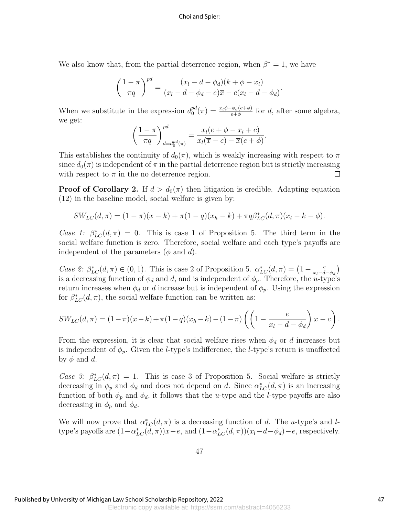We also know that, from the partial deterrence region, when  $\beta^* = 1$ , we have

$$
\left(\frac{1-\pi}{\pi q}\right)^{pd} = \frac{(x_l - d - \phi_d)(k+\phi - x_l)}{(x_l - d - \phi_d - e)\overline{x} - c(x_l - d - \phi_d)}
$$

.

When we substitute in the expression  $d_0^{pd}$  $p_d^{pd}(\pi) = \frac{x_l \phi - \phi_d(e + \phi)}{e + \phi}$  for d, after some algebra, we get:

$$
\left(\frac{1-\pi}{\pi q}\right)_{d=d_0^{pd}(\pi)}^{pd} = \frac{x_l(e+\phi-x_l+c)}{x_l(\overline{x}-c)-\overline{x}(e+\phi)}.
$$

This establishes the continuity of  $d_0(\pi)$ , which is weakly increasing with respect to  $\pi$ since  $d_0(\pi)$  is independent of  $\pi$  in the partial deterrence region but is strictly increasing with respect to  $\pi$  in the no deterrence region. П

**Proof of Corollary 2.** If  $d > d_0(\pi)$  then litigation is credible. Adapting equation (12) in the baseline model, social welfare is given by:

$$
SW_{LC}(d, \pi) = (1 - \pi)(\overline{x} - k) + \pi(1 - q)(x_h - k) + \pi q \beta_{LC}^*(d, \pi)(x_l - k - \phi).
$$

Case 1:  $\beta_{LC}^*(d,\pi) = 0$ . This is case 1 of Proposition 5. The third term in the social welfare function is zero. Therefore, social welfare and each type's payoffs are independent of the parameters  $(\phi \text{ and } d)$ .

Case 2:  $\beta_{LC}^*(d, \pi) \in (0, 1)$ . This is case 2 of Proposition 5.  $\alpha_{LC}^*(d, \pi) = \left(1 - \frac{e}{x_1 - d}\right)$  $\frac{e}{x_l-d-\phi_d}$ is a decreasing function of  $\phi_d$  and d, and is independent of  $\phi_p$ . Therefore, the u-type's return increases when  $\phi_d$  or d increase but is independent of  $\phi_p$ . Using the expression for  $\beta_{LC}^*(d, \pi)$ , the social welfare function can be written as:

$$
SW_{LC}(d, \pi) = (1 - \pi)(\overline{x} - k) + \pi(1 - q)(x_h - k) - (1 - \pi) \left( \left( 1 - \frac{e}{x_l - d - \phi_d} \right) \overline{x} - c \right).
$$

From the expression, it is clear that social welfare rises when  $\phi_d$  or d increases but is independent of  $\phi_p$ . Given the *l*-type's indifference, the *l*-type's return is unaffected by  $\phi$  and d.

Case 3:  $\beta_{LC}^*(d,\pi) = 1$ . This is case 3 of Proposition 5. Social welfare is strictly decreasing in  $\phi_p$  and  $\phi_d$  and does not depend on d. Since  $\alpha_{LC}^*(d, \pi)$  is an increasing function of both  $\phi_p$  and  $\phi_d$ , it follows that the *u*-type and the *l*-type payoffs are also decreasing in  $\phi_p$  and  $\phi_d$ .

We will now prove that  $\alpha_{LC}^*(d, \pi)$  is a decreasing function of d. The u-type's and ltype's payoffs are  $(1-\alpha_{LC}^*(d,\pi))\overline{x}-e$ , and  $(1-\alpha_{LC}^*(d,\pi))(x_l-d-\phi_d)-e$ , respectively.